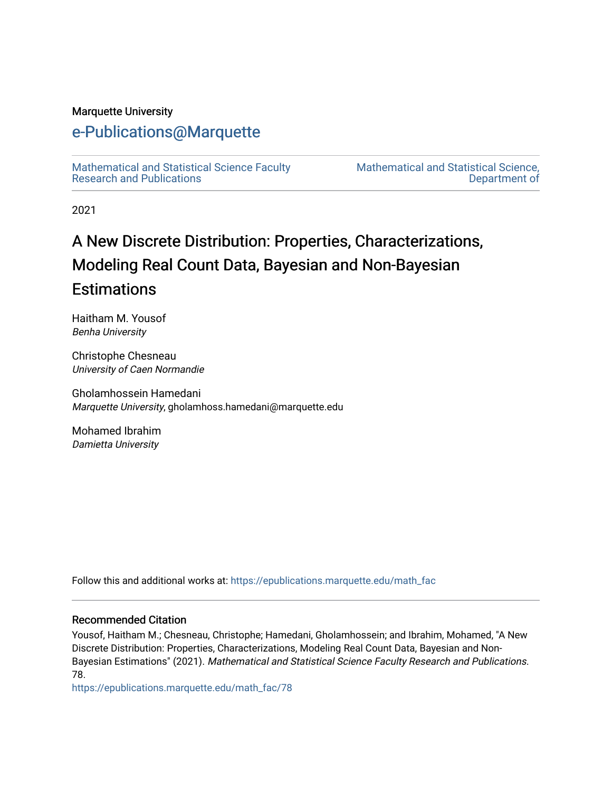### Marquette University

# [e-Publications@Marquette](https://epublications.marquette.edu/)

[Mathematical and Statistical Science Faculty](https://epublications.marquette.edu/math_fac)  [Research and Publications](https://epublications.marquette.edu/math_fac) 

[Mathematical and Statistical Science,](https://epublications.marquette.edu/math)  [Department of](https://epublications.marquette.edu/math) 

2021

# A New Discrete Distribution: Properties, Characterizations, Modeling Real Count Data, Bayesian and Non-Bayesian **Estimations**

Haitham M. Yousof Benha University

Christophe Chesneau University of Caen Normandie

Gholamhossein Hamedani Marquette University, gholamhoss.hamedani@marquette.edu

Mohamed Ibrahim Damietta University

Follow this and additional works at: [https://epublications.marquette.edu/math\\_fac](https://epublications.marquette.edu/math_fac?utm_source=epublications.marquette.edu%2Fmath_fac%2F78&utm_medium=PDF&utm_campaign=PDFCoverPages)

#### Recommended Citation

Yousof, Haitham M.; Chesneau, Christophe; Hamedani, Gholamhossein; and Ibrahim, Mohamed, "A New Discrete Distribution: Properties, Characterizations, Modeling Real Count Data, Bayesian and Non-Bayesian Estimations" (2021). Mathematical and Statistical Science Faculty Research and Publications. 78.

[https://epublications.marquette.edu/math\\_fac/78](https://epublications.marquette.edu/math_fac/78?utm_source=epublications.marquette.edu%2Fmath_fac%2F78&utm_medium=PDF&utm_campaign=PDFCoverPages)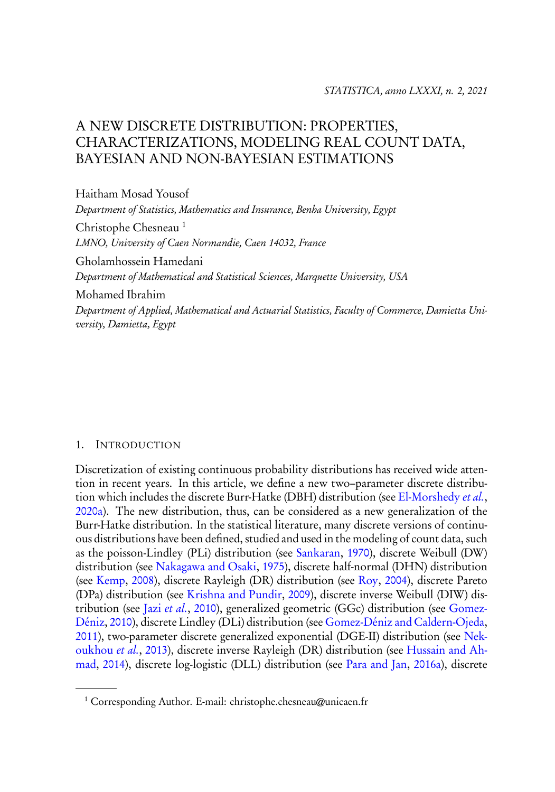## A NEW DISCRETE DISTRIBUTION: PROPERTIES, CHARACTERIZATIONS, MODELING REAL COUNT DATA, BAYESIAN AND NON-BAYESIAN ESTIMATIONS

Haitham Mosad Yousof Department of Statistics, Mathematics and Insurance, Benha University, Egypt Christophe Chesneau <sup>1</sup> LMNO, University of Caen Normandie, Caen 14032, France Gholamhossein Hamedani Department of Mathematical and Statistical Sciences, Marquette University, USA Mohamed Ibrahim Department of Applied, Mathematical and Actuarial Statistics, Faculty of Commerce, Damietta University, Damietta, Egypt

#### 1. INTRODUCTION

Discretization of existing continuous probability distributions has received wide attention in recent years. In this article, we define a new two–parameter discrete distribution which includes the discrete Burr-Hatke (DBH) distribution (see El-Morshedy *et al.*, 2020a). The new distribution, thus, can be considered as a new generalization of the Burr-Hatke distribution. In the statistical literature, many discrete versions of continuous distributions have been defined, studied and used in the modeling of count data, such as the poisson-Lindley (PLi) distribution (see Sankaran, 1970), discrete Weibull (DW) distribution (see Nakagawa and Osaki, 1975), discrete half-normal (DHN) distribution (see Kemp, 2008), discrete Rayleigh (DR) distribution (see Roy, 2004), discrete Pareto (DPa) distribution (see Krishna and Pundir, 2009), discrete inverse Weibull (DIW) distribution (see Jazi et al., 2010), generalized geometric (GGc) distribution (see Gomez-Déniz, 2010), discrete Lindley (DLi) distribution (see Gomez-Déniz and Caldern-Ojeda, 2011), two-parameter discrete generalized exponential (DGE-II) distribution (see Nekoukhou et al., 2013), discrete inverse Rayleigh (DR) distribution (see Hussain and Ahmad, 2014), discrete log-logistic (DLL) distribution (see Para and Jan, 2016a), discrete

<sup>1</sup> Corresponding Author. E-mail: christophe.chesneau@unicaen.fr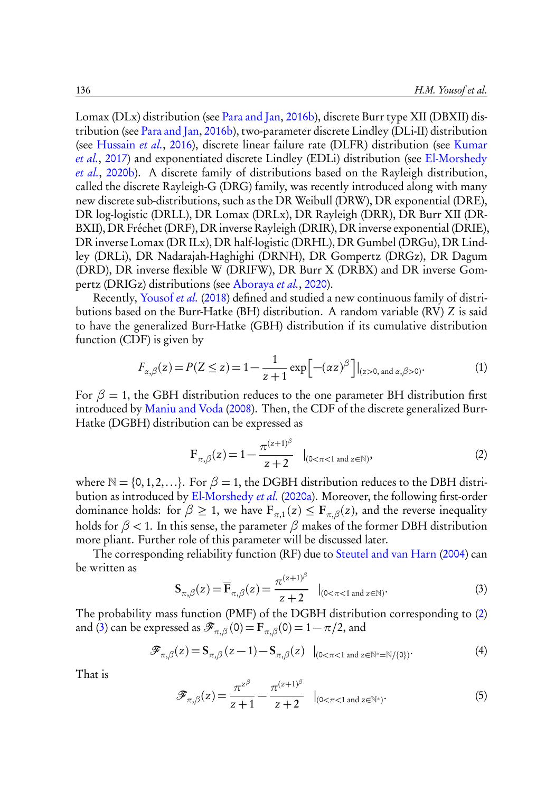Lomax (DLx) distribution (see Para and Jan, 2016b), discrete Burr type XII (DBXII) distribution (see Para and Jan, 2016b), two-parameter discrete Lindley (DLi-II) distribution (see Hussain et al., 2016), discrete linear failure rate (DLFR) distribution (see Kumar et al., 2017) and exponentiated discrete Lindley (EDLi) distribution (see El-Morshedy et al., 2020b). A discrete family of distributions based on the Rayleigh distribution, called the discrete Rayleigh-G (DRG) family, was recently introduced along with many new discrete sub-distributions, such as the DR Weibull (DRW), DR exponential (DRE), DR log-logistic (DRLL), DR Lomax (DRLx), DR Rayleigh (DRR), DR Burr XII (DR-BXII), DR Fréchet (DRF), DR inverse Rayleigh (DRIR), DR inverse exponential (DRIE), DR inverse Lomax (DR ILx), DR half-logistic (DRHL), DR Gumbel (DRGu), DR Lindley (DRLi), DR Nadarajah-Haghighi (DRNH), DR Gompertz (DRGz), DR Dagum (DRD), DR inverse flexible W (DRIFW), DR Burr X (DRBX) and DR inverse Gompertz (DRIGz) distributions (see Aboraya et al., 2020).

Recently, Yousof et al. (2018) defined and studied a new continuous family of distributions based on the Burr-Hatke (BH) distribution. A random variable (RV) Z is said to have the generalized Burr-Hatke (GBH) distribution if its cumulative distribution function (CDF) is given by

$$
F_{\alpha,\beta}(z) = P(Z \le z) = 1 - \frac{1}{z+1} \exp\left[ -(\alpha z)^{\beta} \right] |_{(z>0, \text{ and } \alpha,\beta>0)}.
$$
 (1)

For  $\beta = 1$ , the GBH distribution reduces to the one parameter BH distribution first introduced by Maniu and Voda (2008). Then, the CDF of the discrete generalized Burr-Hatke (DGBH) distribution can be expressed as

$$
\mathbf{F}_{\pi,\beta}(z) = 1 - \frac{\pi^{(z+1)^{\beta}}}{z+2} \quad |_{(0 < \pi < 1 \text{ and } z \in \mathbb{N})},
$$
 (2)

where  $\mathbb{N} = \{0, 1, 2, \ldots\}$ . For  $\beta = 1$ , the DGBH distribution reduces to the DBH distribution as introduced by El-Morshedy et al. (2020a). Moreover, the following first-order dominance holds: for  $\beta \geq 1$ , we have  $\mathbf{F}_{\pi,1}(z) \leq \mathbf{F}_{\pi,\beta}(z)$ , and the reverse inequality holds for *β <* 1. In this sense, the parameter *β* makes of the former DBH distribution more pliant. Further role of this parameter will be discussed later.

The corresponding reliability function (RF) due to Steutel and van Harn (2004) can be written as

$$
\mathbf{S}_{\pi,\beta}(z) = \overline{\mathbf{F}}_{\pi,\beta}(z) = \frac{\pi^{(z+1)^\beta}}{z+2} \quad |_{(0<\pi<1 \text{ and } z\in\mathbb{N})}.
$$

The probability mass function (PMF) of the DGBH distribution corresponding to (2) and (3) can be expressed as  $\mathscr{F}_{\pi,\beta}(0)=\mathrm{F}_{\pi,\beta}(0)=1-\pi/2,$  and

$$
\mathscr{F}_{\pi,\beta}(z) = \mathbf{S}_{\pi,\beta}(z-1) - \mathbf{S}_{\pi,\beta}(z) \quad |_{(0<\pi<1 \text{ and } z\in\mathbb{N}^*=\mathbb{N}/\{0\})}.
$$
 (4)

That is

$$
\mathscr{F}_{\pi,\beta}(z) = \frac{\pi^{z^{\beta}}}{z+1} - \frac{\pi^{(z+1)^{\beta}}}{z+2} \quad |_{(0<\pi<1 \text{ and } z\in\mathbb{N}^*)}.
$$
 (5)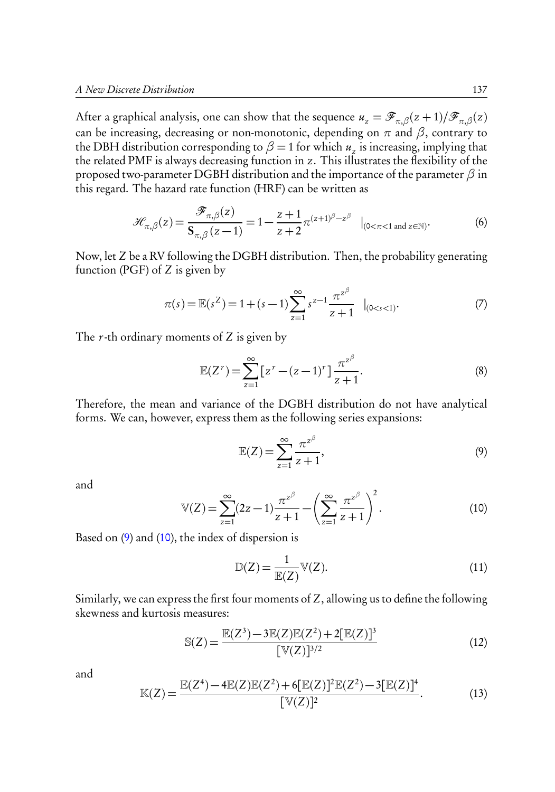After a graphical analysis, one can show that the sequence  $u_z = \mathscr{F}_{\pi,\beta}(z+1)/\mathscr{F}_{\pi,\beta}(z)$ can be increasing, decreasing or non-monotonic, depending on  $\pi$  and  $\beta$ , contrary to the DBH distribution corresponding to  $\beta = 1$  for which  $u_z$  is increasing, implying that the related PMF is always decreasing function in z. This illustrates the flexibility of the proposed two-parameter DGBH distribution and the importance of the parameter *β* in this regard. The hazard rate function (HRF) can be written as

$$
\mathcal{H}_{\pi,\beta}(z) = \frac{\mathcal{F}_{\pi,\beta}(z)}{\mathbf{S}_{\pi,\beta}(z-1)} = 1 - \frac{z+1}{z+2} \pi^{(z+1)\beta - z\beta} \quad |_{(0<\pi<1 \text{ and } z\in\mathbb{N})}.
$$

Now, let Z be a RV following the DGBH distribution. Then, the probability generating function (PGF) of Z is given by

$$
\pi(s) = \mathbb{E}(s^Z) = 1 + (s - 1) \sum_{z=1}^{\infty} s^{z-1} \frac{\pi^{z^{\beta}}}{z+1} \mid_{(0 < s < 1)}.
$$
\n<sup>(7)</sup>

The  $r$ -th ordinary moments of Z is given by

$$
\mathbb{E}(Z^r) = \sum_{z=1}^{\infty} \left[ z^r - (z-1)^r \right] \frac{\pi^{z^{\beta}}}{z+1}.
$$
 (8)

Therefore, the mean and variance of the DGBH distribution do not have analytical forms. We can, however, express them as the following series expansions:

$$
\mathbb{E}(Z) = \sum_{z=1}^{\infty} \frac{\pi^{z^{\beta}}}{z+1},\tag{9}
$$

and

$$
\mathbb{V}(Z) = \sum_{z=1}^{\infty} (2z - 1) \frac{\pi^{z^{\beta}}}{z+1} - \left(\sum_{z=1}^{\infty} \frac{\pi^{z^{\beta}}}{z+1}\right)^2.
$$
 (10)

Based on  $(9)$  and  $(10)$ , the index of dispersion is

$$
\mathbb{D}(Z) = \frac{1}{\mathbb{E}(Z)} \mathbb{V}(Z). \tag{11}
$$

Similarly, we can express the first four moments of Z, allowing us to define the following skewness and kurtosis measures:

$$
\mathbb{S}(Z) = \frac{\mathbb{E}(Z^3) - 3\mathbb{E}(Z)\mathbb{E}(Z^2) + 2[\mathbb{E}(Z)]^3}{[\mathbb{V}(Z)]^{3/2}}
$$
(12)

and

$$
\mathbb{K}(Z) = \frac{\mathbb{E}(Z^4) - 4\mathbb{E}(Z)\mathbb{E}(Z^2) + 6[\mathbb{E}(Z)]^2 \mathbb{E}(Z^2) - 3[\mathbb{E}(Z)]^4}{[\mathbb{V}(Z)]^2}.
$$
 (13)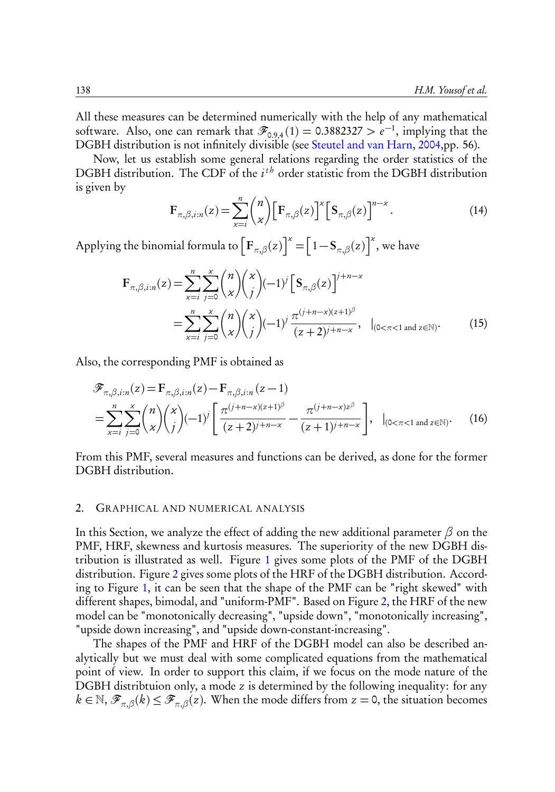All these measures can be determined numerically with the help of any mathematical software. Also, one can remark that  $\mathscr{F}_{0.9,4}(1) = 0.3882327 > e^{-1}$ , implying that the DGBH distribution is not infinitely divisible (see Steutel and van Harn, 2004,pp. 56).

Now, let us establish some general relations regarding the order statistics of the DGBH distribution. The CDF of the  $i^{th}$  order statistic from the DGBH distribution is given by

$$
\mathbf{F}_{\pi,\beta,i:n}(z) = \sum_{\mathbf{x}=i}^{n} {n \choose \mathbf{x}} \Big[ \mathbf{F}_{\pi,\beta}(z) \Big]^{\mathbf{x}} \Big[ \mathbf{S}_{\pi,\beta}(z) \Big]^{n-\mathbf{x}}.
$$
 (14)

Applying the binomial formula to  $\left[\mathbf{F}_{\pi,\beta}(z)\right]^{\chi} = \left[1 - \mathbf{S}_{\pi,\beta}(z)\right]^{\chi}$ , we have

$$
\mathbf{F}_{\pi,\beta,i:n}(z) = \sum_{x=i}^{n} \sum_{j=0}^{x} {n \choose x} {x \choose j} (-1)^j \left[ \mathbf{S}_{\pi,\beta}(z) \right]^{j+n-x}
$$
  
= 
$$
\sum_{x=i}^{n} \sum_{j=0}^{x} {n \choose x} {x \choose j} (-1)^j \frac{\pi^{(j+n-x)(z+1)^{\beta}}}{(z+2)^{j+n-x}}, \quad |_{(0 < \pi < 1 \text{ and } z \in \mathbb{N})}.
$$
 (15)

Also, the corresponding PMF is obtained as

$$
\mathcal{F}_{\pi,\beta,i:n}(z) = \mathbf{F}_{\pi,\beta,i:n}(z) - \mathbf{F}_{\pi,\beta,i:n}(z-1) \n= \sum_{x=i}^{n} \sum_{j=0}^{x} {n \choose x} {x \choose j} (-1)^j \left[ \frac{\pi^{(j+n-x)(z+1)^{\beta}}}{(z+2)^{j+n-x}} - \frac{\pi^{(j+n-x)z^{\beta}}}{(z+1)^{j+n-x}} \right], \quad |_{(0 < \pi < 1 \text{ and } z \in \mathbb{N})}.
$$
\n(16)

From this PMF, several measures and functions can be derived, as done for the former DGBH distribution.

#### 2. GRAPHICAL AND NUMERICAL ANALYSIS

In this Section, we analyze the effect of adding the new additional parameter *β* on the PMF, HRF, skewness and kurtosis measures. The superiority of the new DGBH distribution is illustrated as well. Figure 1 gives some plots of the PMF of the DGBH distribution. Figure 2 gives some plots of the HRF of the DGBH distribution. According to Figure 1, it can be seen that the shape of the PMF can be "right skewed" with different shapes, bimodal, and "uniform-PMF". Based on Figure 2, the HRF of the new model can be "monotonically decreasing", "upside down", "monotonically increasing", "upside down increasing", and "upside down-constant-increasing".

The shapes of the PMF and HRF of the DGBH model can also be described analytically but we must deal with some complicated equations from the mathematical point of view. In order to support this claim, if we focus on the mode nature of the DGBH distribtuion only, a mode z is determined by the following inequality: for any  $k \in \mathbb{N}$ ,  $\mathscr{F}_{\pi,\beta}(k) \leq \mathscr{F}_{\pi,\beta}(z)$ . When the mode differs from  $z = 0$ , the situation becomes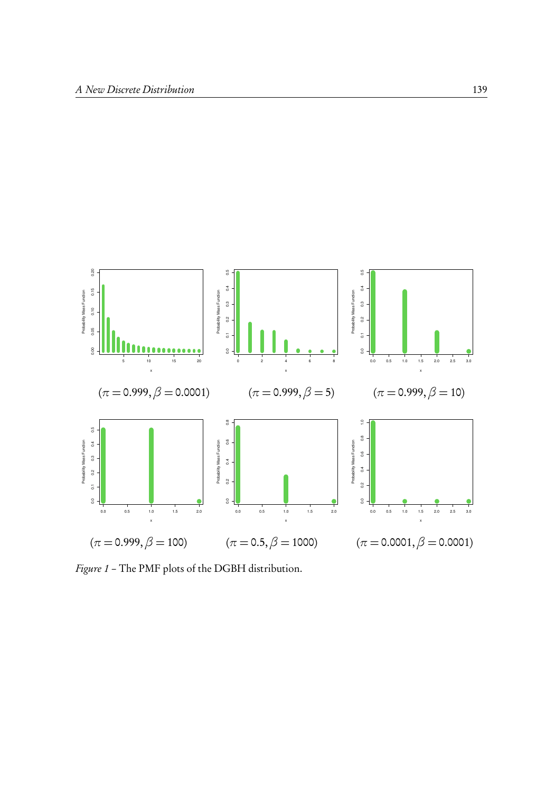

Figure 1 – The PMF plots of the DGBH distribution.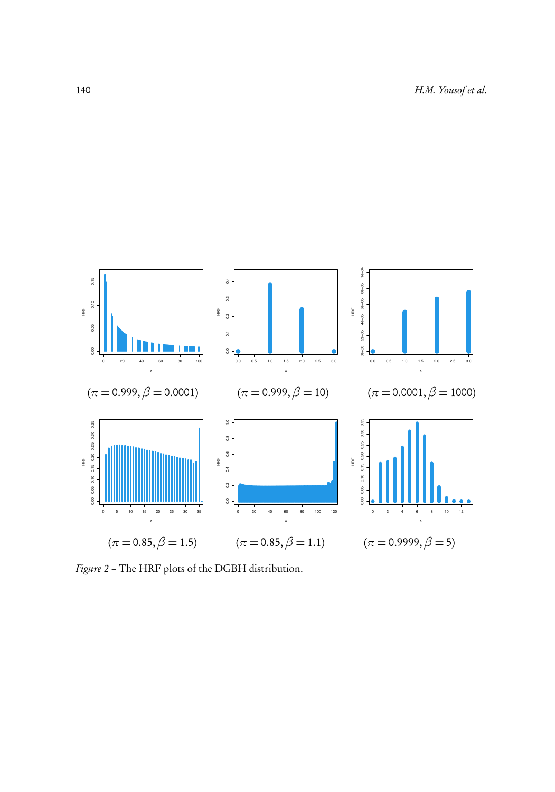

Figure 2 – The HRF plots of the DGBH distribution.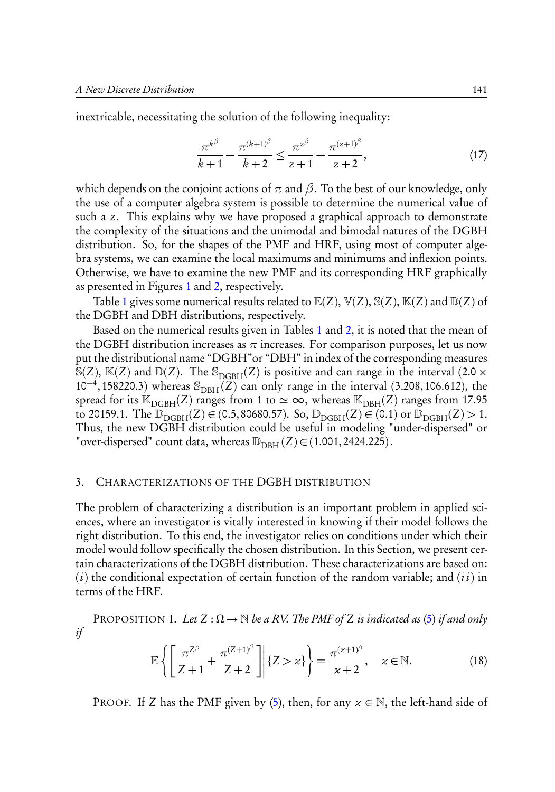inextricable, necessitating the solution of the following inequality:

$$
\frac{\pi^{k^{\beta}}}{k+1} - \frac{\pi^{(k+1)^{\beta}}}{k+2} \le \frac{\pi^{z^{\beta}}}{z+1} - \frac{\pi^{(z+1)^{\beta}}}{z+2},\tag{17}
$$

which depends on the conjoint actions of  $\pi$  and  $\beta$ . To the best of our knowledge, only the use of a computer algebra system is possible to determine the numerical value of such a z. This explains why we have proposed a graphical approach to demonstrate the complexity of the situations and the unimodal and bimodal natures of the DGBH distribution. So, for the shapes of the PMF and HRF, using most of computer algebra systems, we can examine the local maximums and minimums and inflexion points. Otherwise, we have to examine the new PMF and its corresponding HRF graphically as presented in Figures 1 and 2, respectively.

Table 1 gives some numerical results related to  $\mathbb{E}(Z)$ ,  $\mathbb{V}(Z)$ ,  $\mathbb{S}(Z)$ ,  $\mathbb{K}(Z)$  and  $\mathbb{D}(Z)$  of the DGBH and DBH distributions, respectively.

Based on the numerical results given in Tables 1 and 2, it is noted that the mean of the DGBH distribution increases as  $\pi$  increases. For comparison purposes, let us now put the distributional name "DGBH"or "DBH" in index of the corresponding measures  $\mathbb{S}(Z)$ ,  $\mathbb{K}(Z)$  and  $\mathbb{D}(Z)$ . The  $\mathbb{S}_{\text{DGBH}}(Z)$  is positive and can range in the interval (2.0  $\times$  $10^{-4}$ , 158220.3) whereas  $\mathcal{S}_{\text{DBH}}(Z)$  can only range in the interval (3.208, 106.612), the spread for its  $\mathbb{K}_{\text{DGBH}}(Z)$  ranges from 1 to  $\simeq \infty$ , whereas  $\mathbb{K}_{\text{DBH}}(Z)$  ranges from 17.95 to 20159.1. The  $\mathbb{D}_{\text{DGBH}}(Z) \in (0.5, 80680.57)$ . So,  $\mathbb{D}_{\text{DGBH}}(Z) \in (0.1)$  or  $\mathbb{D}_{\text{DGBH}}(Z) > 1$ . Thus, the new DGBH distribution could be useful in modeling "under-dispersed" or "over-dispersed" count data, whereas  $\mathbb{D}_{\rm DBH}(Z) \in (1.001, 2424.225)$ .

#### 3. CHARACTERIZATIONS OF THE DGBH DISTRIBUTION

The problem of characterizing a distribution is an important problem in applied sciences, where an investigator is vitally interested in knowing if their model follows the right distribution. To this end, the investigator relies on conditions under which their model would follow specifically the chosen distribution. In this Section, we present certain characterizations of the DGBH distribution. These characterizations are based on:  $(i)$  the conditional expectation of certain function of the random variable; and  $(ii)$  in terms of the HRF.

PROPOSITION 1. Let  $Z : \Omega \to \mathbb{N}$  be a RV. The PMF of Z is indicated as (5) if and only if

$$
\mathbb{E}\left\{\left[\frac{\pi^{Z^{\beta}}}{Z+1}+\frac{\pi^{(Z+1)^{\beta}}}{Z+2}\right]\middle| \{Z>x\}\right\} = \frac{\pi^{(x+1)^{\beta}}}{x+2}, \quad x \in \mathbb{N}.\tag{18}
$$

PROOF. If Z has the PMF given by (5), then, for any  $x \in \mathbb{N}$ , the left-hand side of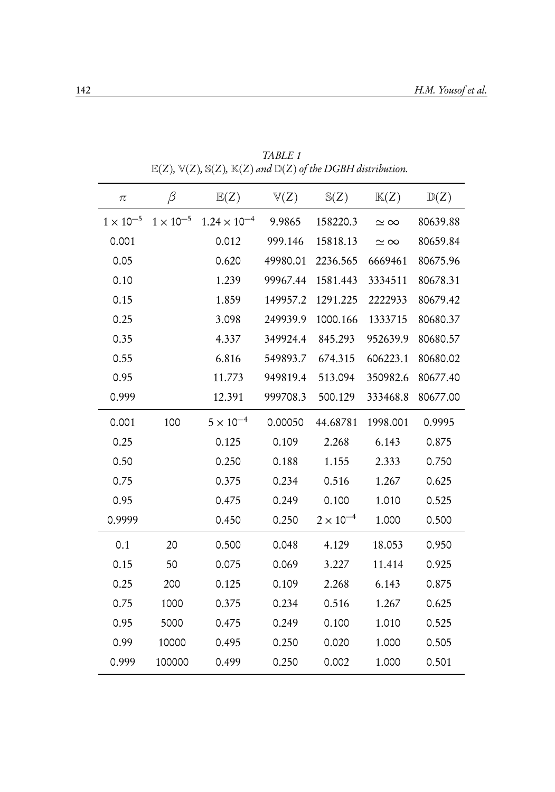| $\pi$            | β                  | E(Z)                  | $\mathbb{V}(Z)$ | $\mathbb{S}(Z)$    | K(Z)            | $\mathbb{D}(Z)$ |
|------------------|--------------------|-----------------------|-----------------|--------------------|-----------------|-----------------|
| $1\times10^{-5}$ | $1 \times 10^{-5}$ | $1.24 \times 10^{-4}$ | 9.9865          | 158220.3           | $\simeq \infty$ | 80639.88        |
| 0.001            |                    | 0.012                 | 999.146         | 15818.13           | $\simeq \infty$ | 80659.84        |
| 0.05             |                    | 0.620                 | 49980.01        | 2236.565           | 6669461         | 80675.96        |
| 0.10             |                    | 1.239                 | 99967.44        | 1581.443           | 3334511         | 80678.31        |
| 0.15             |                    | 1.859                 | 149957.2        | 1291.225           | 2222933         | 80679.42        |
| 0.25             |                    | 3.098                 | 249939.9        | 1000.166           | 1333715         | 80680.37        |
| 0.35             |                    | 4.337                 | 349924.4        | 845.293            | 952639.9        | 80680.57        |
| 0.55             |                    | 6.816                 | 549893.7        | 674.315            | 606223.1        | 80680.02        |
| 0.95             |                    | 11.773                | 949819.4        | 513.094            | 350982.6        | 80677.40        |
| 0.999            |                    | 12.391                | 999708.3        | 500.129            | 333468.8        | 80677.00        |
| 0.001            | 100                | $5 \times 10^{-4}$    | 0.00050         | 44.68781           | 1998.001        | 0.9995          |
| 0.25             |                    | 0.125                 | 0.109           | 2.268              | 6.143           | 0.875           |
| 0.50             |                    | 0.250                 | 0.188           | 1.155              | 2.333           | 0.750           |
| 0.75             |                    | 0.375                 | 0.234           | 0.516              | 1.267           | 0.625           |
| 0.95             |                    | 0.475                 | 0.249           | 0.100              | 1.010           | 0.525           |
| 0.9999           |                    | 0.450                 | 0.250           | $2 \times 10^{-4}$ | 1.000           | 0.500           |
| 0.1              | 20                 | 0.500                 | 0.048           | 4.129              | 18.053          | 0.950           |
| 0.15             | 50                 | 0.075                 | 0.069           | 3.227              | 11.414          | 0.925           |
| 0.25             | 200                | 0.125                 | 0.109           | 2.268              | 6.143           | 0.875           |
| 0.75             | 1000               | 0.375                 | 0.234           | 0.516              | 1.267           | 0.625           |
| 0.95             | 5000               | 0.475                 | 0.249           | 0.100              | 1.010           | 0.525           |
| 0.99             | 10000              | 0.495                 | 0.250           | 0.020              | 1.000           | 0.505           |
| 0.999            | 100000             | 0.499                 | 0.250           | 0.002              | 1.000           | 0.501           |

TABLE 1  $E(Z)$ ,  $V(Z)$ ,  $S(Z)$ ,  $K(Z)$  and  $D(Z)$  of the DGBH distribution.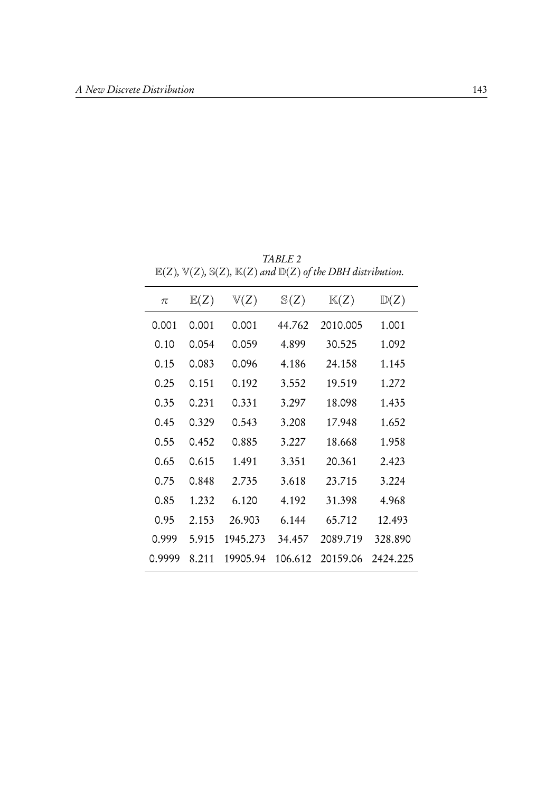|        |       |                 |                 | $\mathbb{E}(Z)$ , $\forall$ (Z), $\mathbb{E}(Z)$ , $\mathbb{E}(Z)$ and $\mathbb{E}(Z)$ of the DB11 distribution. |                 |
|--------|-------|-----------------|-----------------|------------------------------------------------------------------------------------------------------------------|-----------------|
| $\pi$  | E(Z)  | $\mathbb{V}(Z)$ | $\mathbb{S}(Z)$ | K(Z)                                                                                                             | $\mathbb{D}(Z)$ |
| 0.001  | 0.001 | 0.001           | 44.762          | 2010.005                                                                                                         | 1.001           |
| 0.10   | 0.054 | 0.059           | 4.899           | 30.525                                                                                                           | 1.092           |
| 0.15   | 0.083 | 0.096           | 4.186           | 24.158                                                                                                           | 1.145           |
| 0.25   | 0.151 | 0.192           | 3.552           | 19.519                                                                                                           | 1.272           |
| 0.35   | 0.231 | 0.331           | 3.297           | 18.098                                                                                                           | 1.435           |
| 0.45   | 0.329 | 0.543           | 3.208           | 17.948                                                                                                           | 1.652           |
| 0.55   | 0.452 | 0.885           | 3.227           | 18.668                                                                                                           | 1.958           |
| 0.65   | 0.615 | 1.491           | 3.351           | 20.361                                                                                                           | 2.423           |
| 0.75   | 0.848 | 2.735           | 3.618           | 23.715                                                                                                           | 3.224           |
| 0.85   | 1.232 | 6.120           | 4.192           | 31.398                                                                                                           | 4.968           |
| 0.95   | 2.153 | 26.903          | 6.144           | 65.712                                                                                                           | 12.493          |
| 0.999  | 5.915 | 1945.273        | 34.457          | 2089.719                                                                                                         | 328.890         |
| 0.9999 | 8.211 | 19905.94        | 106.612         | 20159.06                                                                                                         | 2424.225        |

TABLE 2  $\mathbb{E}(Z)$ ,  $\mathbb{V}(Z)$ ,  $\mathbb{S}(Z)$ ,  $\mathbb{K}(Z)$  and  $\mathbb{D}(Z)$  of the DRH distribution.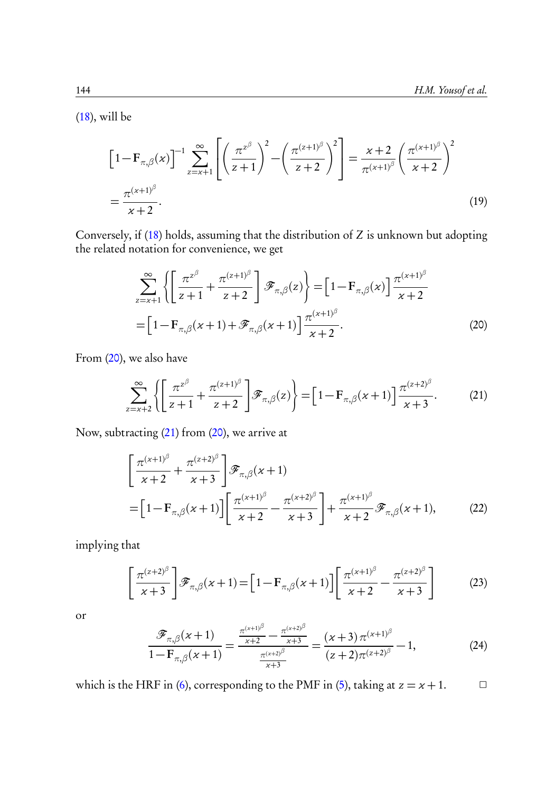$(18)$ , will be

$$
\[1 - \mathbf{F}_{\pi,\beta}(x)\]^{-1} \sum_{z=x+1}^{\infty} \left[ \left(\frac{\pi^{z^{\beta}}}{z+1}\right)^2 - \left(\frac{\pi^{(z+1)^{\beta}}}{z+2}\right)^2 \right] = \frac{x+2}{\pi^{(x+1)^{\beta}}} \left(\frac{\pi^{(x+1)^{\beta}}}{x+2}\right)^2
$$
\n
$$
= \frac{\pi^{(x+1)^{\beta}}}{x+2}.
$$
\n(19)

Conversely, if (18) holds, assuming that the distribution of Z is unknown but adopting the related notation for convenience, we get

$$
\sum_{z=x+1}^{\infty} \left\{ \left[ \frac{\pi^{z^{\beta}}}{z+1} + \frac{\pi^{(z+1)^{\beta}}}{z+2} \right] \mathcal{F}_{\pi,\beta}(z) \right\} = \left[ 1 - \mathbf{F}_{\pi,\beta}(x) \right] \frac{\pi^{(x+1)^{\beta}}}{x+2}
$$

$$
= \left[ 1 - \mathbf{F}_{\pi,\beta}(x+1) + \mathcal{F}_{\pi,\beta}(x+1) \right] \frac{\pi^{(x+1)^{\beta}}}{x+2}.
$$
(20)

From (20), we also have

$$
\sum_{z=x+2}^{\infty} \left\{ \left[ \frac{\pi^{z^{\beta}}}{z+1} + \frac{\pi^{(z+1)^{\beta}}}{z+2} \right] \mathcal{F}_{\pi,\beta}(z) \right\} = \left[ 1 - \mathbf{F}_{\pi,\beta}(x+1) \right] \frac{\pi^{(z+2)^{\beta}}}{x+3}.
$$
 (21)

Now, subtracting (21) from (20), we arrive at

$$
\left[\frac{\pi^{(x+1)^\beta}}{x+2} + \frac{\pi^{(z+2)^\beta}}{x+3}\right] \mathcal{F}_{\pi,\beta}(x+1)
$$
\n
$$
= \left[1 - \mathbf{F}_{\pi,\beta}(x+1)\right] \left[\frac{\pi^{(x+1)^\beta}}{x+2} - \frac{\pi^{(x+2)^\beta}}{x+3}\right] + \frac{\pi^{(x+1)^\beta}}{x+2} \mathcal{F}_{\pi,\beta}(x+1),\tag{22}
$$

implying that

$$
\left[\frac{\pi^{(z+2)^\beta}}{x+3}\right]\mathscr{F}_{\pi,\beta}(x+1) = \left[1 - \mathbf{F}_{\pi,\beta}(x+1)\right] \left[\frac{\pi^{(x+1)^\beta}}{x+2} - \frac{\pi^{(z+2)^\beta}}{x+3}\right] \tag{23}
$$

or

$$
\frac{\mathcal{F}_{\pi,\beta}(x+1)}{1-\mathbf{F}_{\pi,\beta}(x+1)} = \frac{\frac{\pi^{(x+1)^{\beta}}}{x+2} - \frac{\pi^{(x+2)^{\beta}}}{x+3}}{\frac{\pi^{(x+2)^{\beta}}}{x+3}} = \frac{(x+3)\pi^{(x+1)^{\beta}}}{(z+2)\pi^{(x+2)^{\beta}}} - 1, \tag{24}
$$

which is the HRF in (6), corresponding to the PMF in (5), taking at  $z = x + 1$ .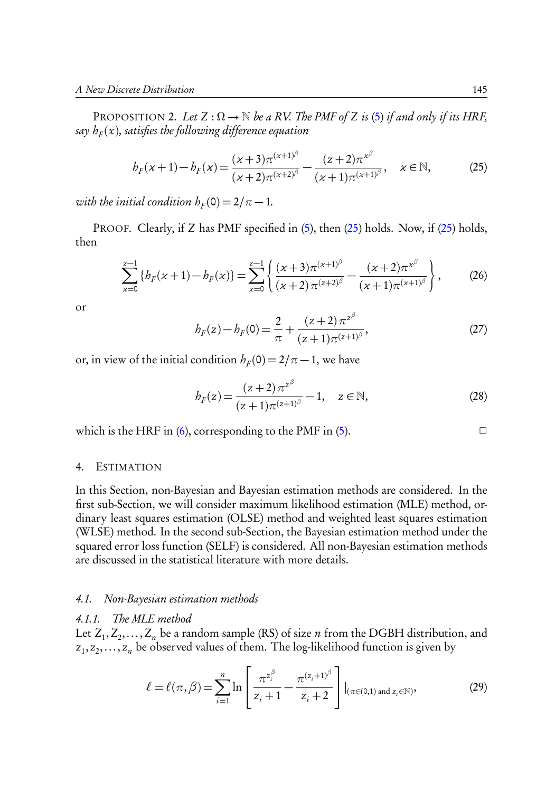PROPOSITION 2. Let  $Z : \Omega \to \mathbb{N}$  be a RV. The PMF of Z is (5) if and only if its HRF, say  $h_F(x)$ , satisfies the following difference equation

$$
b_F(x+1) - b_F(x) = \frac{(x+3)\pi^{(x+1)^{\beta}}}{(x+2)\pi^{(x+2)^{\beta}}} - \frac{(z+2)\pi^{x^{\beta}}}{(x+1)\pi^{(x+1)^{\beta}}}, \quad x \in \mathbb{N},
$$
 (25)

with the initial condition  $h_F(0) = 2/\pi - 1$ .

PROOF. Clearly, if Z has PMF specified in (5), then (25) holds. Now, if (25) holds, then

$$
\sum_{\alpha=0}^{z-1} \{b_F(x+1)-b_F(x)\} = \sum_{\alpha=0}^{z-1} \left\{ \frac{(x+3)\pi^{(x+1)^\beta}}{(x+2)\pi^{(z+2)^\beta}} - \frac{(x+2)\pi^{x^\beta}}{(x+1)\pi^{(x+1)^\beta}} \right\},
$$
 (26)

or

$$
b_F(z) - b_F(0) = \frac{2}{\pi} + \frac{(z+2)\pi^{z^{\beta}}}{(z+1)\pi^{(z+1)^{\beta}}},
$$
\n(27)

or, in view of the initial condition  $h_F(0) = 2/\pi - 1$ , we have

$$
b_F(z) = \frac{(z+2)\pi^{z^{\beta}}}{(z+1)\pi^{(z+1)^{\beta}}} - 1, \quad z \in \mathbb{N},
$$
 (28)

which is the HRF in  $(6)$ , corresponding to the PMF in  $(5)$ .

#### 4. ESTIMATION

In this Section, non-Bayesian and Bayesian estimation methods are considered. In the first sub-Section, we will consider maximum likelihood estimation (MLE) method, ordinary least squares estimation (OLSE) method and weighted least squares estimation (WLSE) method. In the second sub-Section, the Bayesian estimation method under the squared error loss function (SELF) is considered. All non-Bayesian estimation methods are discussed in the statistical literature with more details.

#### 4.1. Non-Bayesian estimation methods

#### 4.1.1. The MLE method

Let  $Z_1, Z_2, \ldots, Z_n$  be a random sample (RS) of size *n* from the DGBH distribution, and  $z_1, z_2, \ldots, z_n$  be observed values of them. The log-likelihood function is given by

$$
\ell = \ell(\pi, \beta) = \sum_{i=1}^{n} \ln \left[ \frac{\pi^{z_i^{\beta}}}{z_i + 1} - \frac{\pi^{(z_i + 1)^{\beta}}}{z_i + 2} \right] |_{(\pi \in (0, 1) \text{ and } z_i \in \mathbb{N})},
$$
(29)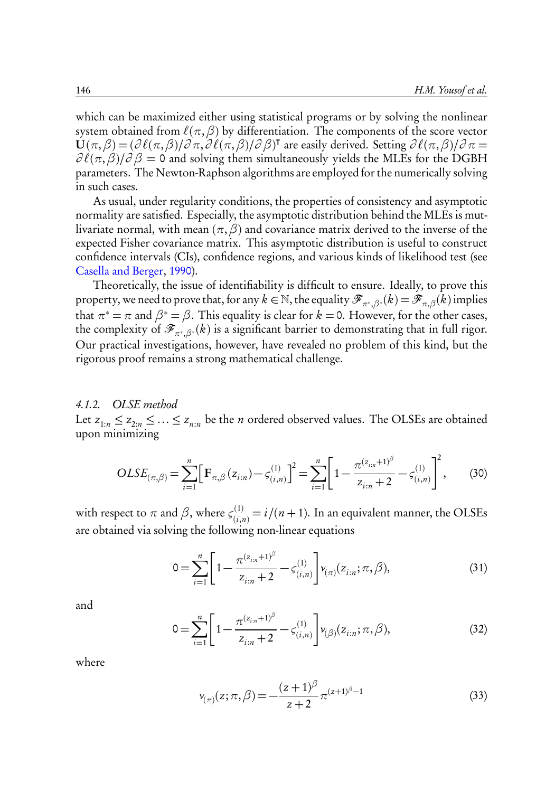which can be maximized either using statistical programs or by solving the nonlinear system obtained from  $\ell(\pi, \beta)$  by differentiation. The components of the score vector  $\dot{\mathbf{U}}(\pi,\beta)=(\partial\,\ell(\pi,\beta)/\partial\,\pi,\partial\,\ell(\pi,\beta)/\partial\,\beta)^\intercal$  are easily derived. Setting  $\partial\,\ell(\pi,\beta)/\partial\,\pi=0$  $\partial \ell(\pi, \beta)/\partial \beta = 0$  and solving them simultaneously yields the MLEs for the DGBH parameters. The Newton-Raphson algorithms are employed for the numerically solving in such cases.

As usual, under regularity conditions, the properties of consistency and asymptotic normality are satisfied. Especially, the asymptotic distribution behind the MLEs is mutlivariate normal, with mean (*π*,*β*) and covariance matrix derived to the inverse of the expected Fisher covariance matrix. This asymptotic distribution is useful to construct confidence intervals (CIs), confidence regions, and various kinds of likelihood test (see Casella and Berger, 1990).

Theoretically, the issue of identifiability is difficult to ensure. Ideally, to prove this property, we need to prove that, for any  $k\in\mathbb{N}$ , the equality  $\mathscr{F}_{\pi^*,\beta^*}(k)\!=\!\mathscr{F}_{\pi,\beta}(k)$  implies that  $\pi^* = \pi$  and  $\beta^* = \beta$ . This equality is clear for  $k = 0$ . However, for the other cases, the complexity of  $\mathscr{F}_{\pi^*,\beta^*}(k)$  is a significant barrier to demonstrating that in full rigor. Our practical investigations, however, have revealed no problem of this kind, but the rigorous proof remains a strong mathematical challenge.

#### 4.1.2. OLSE method

Let  $z_{1:n} \leq z_{2:n} \leq \ldots \leq z_{n:n}$  be the *n* ordered observed values. The OLSEs are obtained upon minimizing

$$
OLSE_{(\pi,\beta)} = \sum_{i=1}^{n} \Big[ F_{\pi,\beta}(z_{i:n}) - \zeta_{(i,n)}^{(1)} \Big]^{2} = \sum_{i=1}^{n} \Bigg[ 1 - \frac{\pi^{(z_{i:n}+1)^{\beta}}}{z_{i:n}+2} - \zeta_{(i,n)}^{(1)} \Bigg]^{2},
$$
(30)

with respect to  $\pi$  and  $\beta$ , where  $\zeta_{(i)}^{(1)}$  $\sum_{(i,n)}^{(1)}=i/(n+1)$ . In an equivalent manner, the OLSEs are obtained via solving the following non-linear equations

$$
0 = \sum_{i=1}^{n} \left[ 1 - \frac{\pi^{(z_{i:n}+1)^{\beta}}}{z_{i:n}+2} - \zeta^{(1)}_{(i,n)} \right] v_{(\pi)}(z_{i:n}; \pi, \beta), \tag{31}
$$

and

$$
0 = \sum_{i=1}^{n} \left[ 1 - \frac{\pi^{(z_{i:n}+1)^{\beta}}}{z_{i:n}+2} - \zeta^{(1)}_{(i,n)} \right] v_{(\beta)}(z_{i:n}; \pi, \beta), \tag{32}
$$

where

$$
\nu_{(\pi)}(z;\pi,\beta) = -\frac{(z+1)^{\beta}}{z+2} \pi^{(z+1)^{\beta}-1}
$$
\n(33)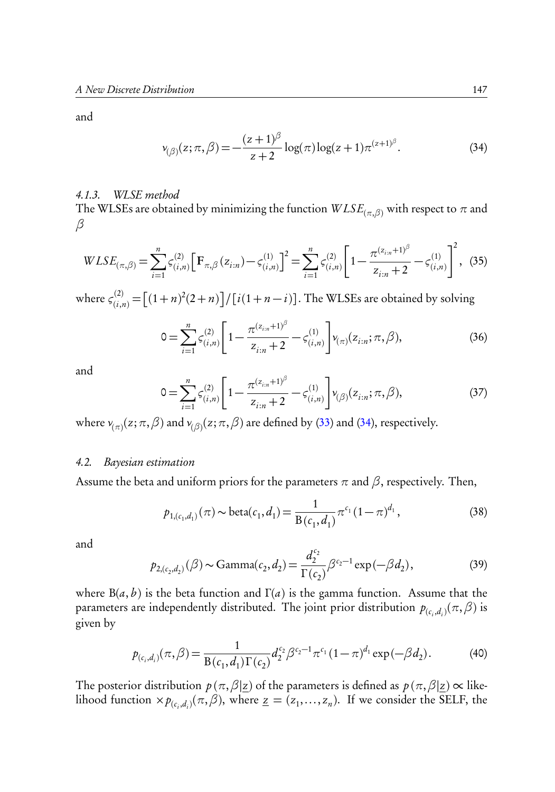and

$$
\nu_{(\beta)}(z;\pi,\beta) = -\frac{(z+1)^{\beta}}{z+2}\log(\pi)\log(z+1)\pi^{(z+1)^{\beta}}.
$$
 (34)

#### 4.1.3. WLSE method

The WLSEs are obtained by minimizing the function  $W LSE_{(\pi,\beta)}$  with respect to  $\pi$  and *β*

$$
WLSE_{(\pi,\beta)} = \sum_{i=1}^{n} \varsigma_{(i,n)}^{(2)} \Big[ \mathbf{F}_{\pi,\beta}(z_{i:n}) - \varsigma_{(i,n)}^{(1)} \Big]^2 = \sum_{i=1}^{n} \varsigma_{(i,n)}^{(2)} \Bigg[ 1 - \frac{\pi^{(z_{i:n}+1)^{\beta}}}{z_{i:n}+2} - \varsigma_{(i,n)}^{(1)} \Bigg]^2, \tag{35}
$$

where  $\zeta^{(2)}_{(i,j)}$  $\binom{2}{(i,n)} = \left[ (1+n)^2(2+n) \right] / \left[ i(1+n-i) \right]$ . The WLSEs are obtained by solving

$$
0 = \sum_{i=1}^{n} \varsigma_{(i,n)}^{(2)} \left[ 1 - \frac{\pi^{(z_{i,n}+1)^{\beta}}}{z_{i,n}+2} - \varsigma_{(i,n)}^{(1)} \right] v_{(\pi)}(z_{i,n}; \pi, \beta), \tag{36}
$$

and

$$
0 = \sum_{i=1}^{n} \zeta_{(i,n)}^{(2)} \left[ 1 - \frac{\pi^{(z_{i:n}+1)^{\beta}}}{z_{i:n}+2} - \zeta_{(i,n)}^{(1)} \right] \nu_{(\beta)}(z_{i:n}; \pi, \beta), \tag{37}
$$

where  $\nu_{(\pi)}(z;\pi,\beta)$  and  $\nu_{(\beta)}(z;\pi,\beta)$  are defined by (33) and (34), respectively.

#### 4.2. Bayesian estimation

Assume the beta and uniform priors for the parameters  $\pi$  and  $\beta$ , respectively. Then,

$$
p_{1,(c_1,d_1)}(\pi) \sim \text{beta}(c_1,d_1) = \frac{1}{B(c_1,d_1)} \pi^{c_1} (1-\pi)^{d_1},
$$
\n(38)

and

$$
p_{2,(c_2,d_2)}(\beta) \sim \text{Gamma}(c_2,d_2) = \frac{d_2^{c_2}}{\Gamma(c_2)} \beta^{c_2-1} \exp(-\beta d_2),\tag{39}
$$

where  $B(a, b)$  is the beta function and  $\Gamma(a)$  is the gamma function. Assume that the parameters are independently distributed. The joint prior distribution  $p_{(c_i,d_i)}(\pi,\beta)$  is given by

$$
p_{(c_i,d_i)}(\pi,\beta) = \frac{1}{B(c_1,d_1)\Gamma(c_2)} d_2^{c_2} \beta^{c_2-1} \pi^{c_1} (1-\pi)^{d_1} \exp(-\beta d_2).
$$
 (40)

The posterior distribution  $p(\pi, \beta | z)$  of the parameters is defined as  $p(\pi, \beta | z) \propto$  likelihood function  $\times p_{(c_i,d_i)}(\pi,\beta)$ , where  $\underline{z} = (z_1,\ldots,z_n)$ . If we consider the SELF, the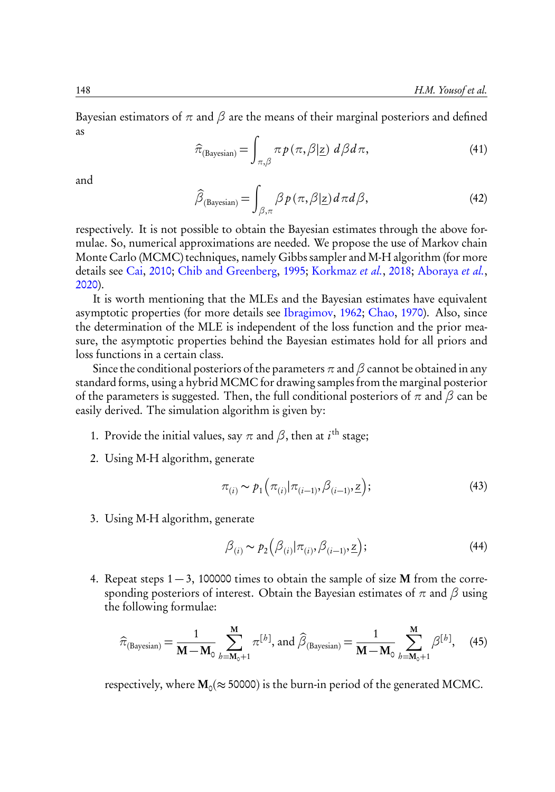Bayesian estimators of  $\pi$  and  $\beta$  are the means of their marginal posteriors and defined as

$$
\widehat{\pi}_{\text{(Bayesian)}} = \int_{\pi,\beta} \pi p\left(\pi, \beta | \underline{z}\right) \, d\beta \, d\,\pi,\tag{41}
$$

and

$$
\widehat{\beta}_{\text{(Bayesian)}} = \int_{\beta,\pi} \beta p(\pi,\beta|z) d\pi d\beta,\tag{42}
$$

respectively. It is not possible to obtain the Bayesian estimates through the above formulae. So, numerical approximations are needed. We propose the use of Markov chain Monte Carlo (MCMC) techniques, namely Gibbs sampler and M-H algorithm (for more details see Cai, 2010; Chib and Greenberg, 1995; Korkmaz et al., 2018; Aboraya et al., 2020).

It is worth mentioning that the MLEs and the Bayesian estimates have equivalent asymptotic properties (for more details see Ibragimov, 1962; Chao, 1970). Also, since the determination of the MLE is independent of the loss function and the prior measure, the asymptotic properties behind the Bayesian estimates hold for all priors and loss functions in a certain class.

Since the conditional posteriors of the parameters  $\pi$  and  $\beta$  cannot be obtained in any standard forms, using a hybrid MCMC for drawing samples from the marginal posterior of the parameters is suggested. Then, the full conditional posteriors of *π* and *β* can be easily derived. The simulation algorithm is given by:

- 1. Provide the initial values, say  $\pi$  and  $\beta$ , then at i<sup>th</sup> stage;
- 2. Using M-H algorithm, generate

$$
\pi_{(i)} \sim p_1\left(\pi_{(i)}|\pi_{(i-1)}, \beta_{(i-1)}, \underline{z}\right); \tag{43}
$$

3. Using M-H algorithm, generate

$$
\beta_{(i)} \sim p_2(\beta_{(i)} | \pi_{(i)}, \beta_{(i-1)}, \underline{z}); \tag{44}
$$

4. Repeat steps  $1 - 3$ , 100000 times to obtain the sample of size **M** from the corresponding posteriors of interest. Obtain the Bayesian estimates of *π* and *β* using the following formulae:

$$
\hat{\pi}_{\text{(Bayesian)}} = \frac{1}{\mathbf{M} - \mathbf{M}_0} \sum_{b=\mathbf{M}_0+1}^{\mathbf{M}} \pi^{[b]}, \text{ and } \hat{\beta}_{\text{(Bayesian)}} = \frac{1}{\mathbf{M} - \mathbf{M}_0} \sum_{b=\mathbf{M}_0+1}^{\mathbf{M}} \beta^{[b]}, \quad (45)
$$

respectively, where  $M_0 (\approx 50000)$  is the burn-in period of the generated MCMC.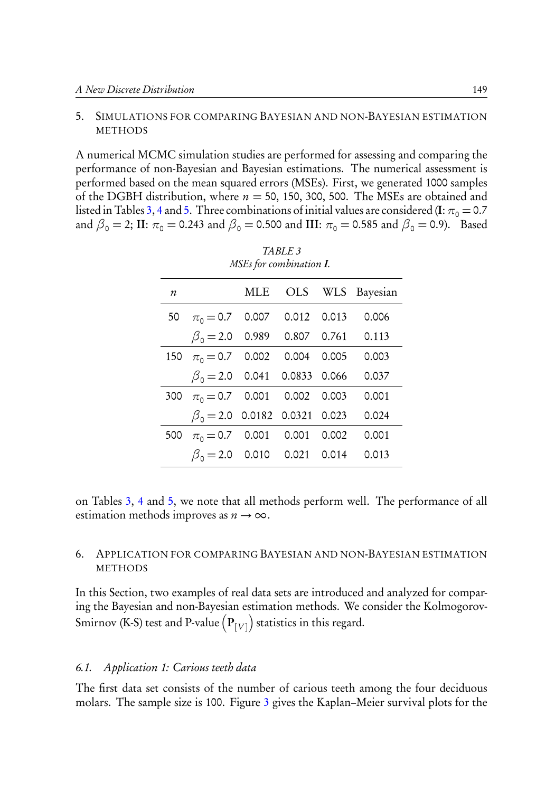#### 5. SIMULATIONS FOR COMPARING BAYESIAN AND NON-BAYESIAN ESTIMATION **METHODS**

A numerical MCMC simulation studies are performed for assessing and comparing the performance of non-Bayesian and Bayesian estimations. The numerical assessment is performed based on the mean squared errors (MSEs). First, we generated 1000 samples of the DGBH distribution, where  $n = 50$ , 150, 300, 500. The MSEs are obtained and listed in Tables 3, 4 and 5. Three combinations of initial values are considered (I:  $\pi_0 = 0.7$ and  $\beta_0 = 2$ ; II:  $\pi_0 = 0.243$  and  $\beta_0 = 0.500$  and III:  $\pi_0 = 0.585$  and  $\beta_0 = 0.9$ ). Based

| $\boldsymbol{n}$ |                                     |  | MLE OLS WLS Bayesian |
|------------------|-------------------------------------|--|----------------------|
|                  | 50 $\pi_0 = 0.7$ 0.007 0.012 0.013  |  | 0.006                |
|                  | $\beta_0 = 2.0$ 0.989 0.807 0.761   |  | 0.113                |
| 150              | $\pi_0 = 0.7$ 0.002 0.004 0.005     |  | 0.003                |
|                  | $\beta_0 = 2.0$ 0.041 0.0833 0.066  |  | 0.037                |
|                  | 300 $\pi_0 = 0.7$ 0.001 0.002 0.003 |  | 0.001                |
|                  | $\beta_0 = 2.0$ 0.0182 0.0321 0.023 |  | 0.024                |
| 500              | $\pi_0 = 0.7$ 0.001 0.001 0.002     |  | 0.001                |
|                  | $\beta_0 = 2.0$ 0.010 0.021 0.014   |  | 0.013                |

TABLE 3 MSEs for combination I.

on Tables 3, 4 and 5, we note that all methods perform well. The performance of all estimation methods improves as  $n \to \infty$ .

#### 6. APPLICATION FOR COMPARING BAYESIAN AND NON-BAYESIAN ESTIMATION METHODS

In this Section, two examples of real data sets are introduced and analyzed for comparing the Bayesian and non-Bayesian estimation methods. We consider the Kolmogorov-Smirnov (K-S) test and P-value  $\left(\mathbf{P}_{\left\lbrack V \right\rbrack}\right)$  statistics in this regard.

#### 6.1. Application 1: Carious teeth data

The first data set consists of the number of carious teeth among the four deciduous molars. The sample size is 100. Figure 3 gives the Kaplan–Meier survival plots for the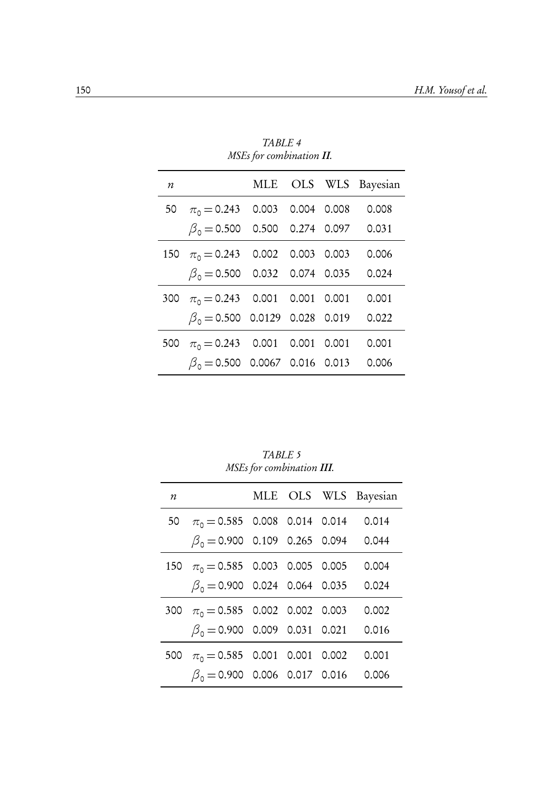|     | $1.1020$ $10.7$ conversations and         |  |  |  |                      |  |  |  |  |  |  |
|-----|-------------------------------------------|--|--|--|----------------------|--|--|--|--|--|--|
| n   |                                           |  |  |  | MLE OLS WLS Bayesian |  |  |  |  |  |  |
|     | 50 $\pi_0 = 0.243$ 0.003 0.004 0.008      |  |  |  | 0.008                |  |  |  |  |  |  |
|     | $\beta_0 = 0.500$ 0.500 0.274 0.097       |  |  |  | 0.031                |  |  |  |  |  |  |
| 150 | $\pi_0 = 0.243$ 0.002 0.003 0.003         |  |  |  | 0.006                |  |  |  |  |  |  |
|     | $\beta_0 = 0.500$ 0.032 0.074 0.035 0.024 |  |  |  |                      |  |  |  |  |  |  |
| 300 | $\pi_0 = 0.243$ 0.001 0.001 0.001         |  |  |  | 0.001                |  |  |  |  |  |  |
|     | $\beta_0 = 0.500$ 0.0129 0.028 0.019      |  |  |  | 0.022                |  |  |  |  |  |  |
| 500 | $\pi_0 = 0.243$ 0.001 0.001 0.001         |  |  |  | 0.001                |  |  |  |  |  |  |
|     | $\beta_0 = 0.500$ 0.0067 0.016 0.013      |  |  |  | 0.006                |  |  |  |  |  |  |

TABLE 4 MSEs for combination II.

TABLE 5 MSEs for combination III.

| $\boldsymbol{n}$ |                                            |  | MLE OLS WLS Bayesian |
|------------------|--------------------------------------------|--|----------------------|
|                  | 50 $\pi_0 = 0.585$ 0.008 0.014 0.014 0.014 |  |                      |
|                  | $\beta_0 = 0.900$ 0.109 0.265 0.094 0.044  |  |                      |
|                  | 150 $\pi_0 = 0.585$ 0.003 0.005 0.005      |  | 0.004                |
|                  | $\beta_0 = 0.900$ 0.024 0.064 0.035        |  | 0.024                |
|                  | 300 $\pi_0 = 0.585$ 0.002 0.002 0.003      |  | 0.002                |
|                  | $\beta_0 = 0.900$ 0.009 0.031 0.021        |  | 0.016                |
|                  | 500 $\pi_0 = 0.585$ 0.001 0.001 0.002      |  | 0.001                |
|                  | $\beta_0 = 0.900$ 0.006 0.017 0.016 0.006  |  |                      |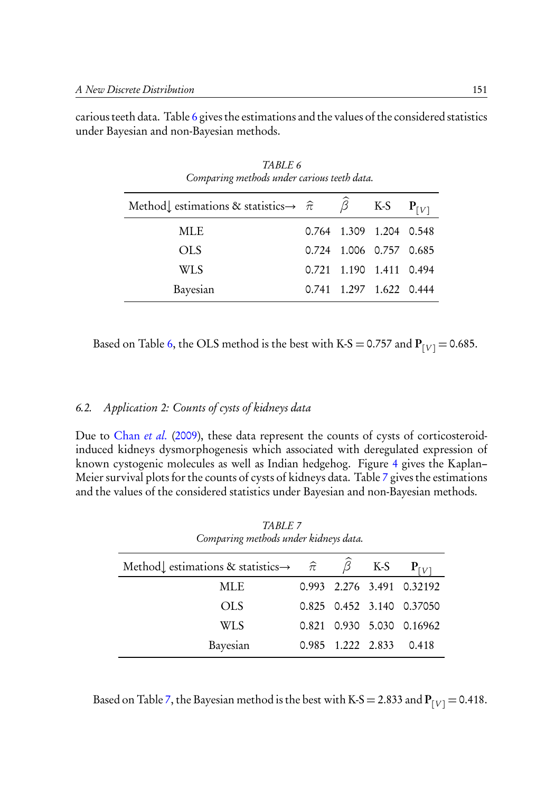carious teeth data. Table 6 gives the estimations and the values of the considered statistics under Bayesian and non-Bayesian methods.

TABLE 6

| Comparing methods under carious teeth data.                               |  |  |                         |           |  |  |  |  |  |  |
|---------------------------------------------------------------------------|--|--|-------------------------|-----------|--|--|--|--|--|--|
| Method estimations & statistics $\rightarrow \hat{\pi}$ $\hat{\beta}$ K-S |  |  |                         | $P_{[V]}$ |  |  |  |  |  |  |
| MLE.                                                                      |  |  | 0.764 1.309 1.204 0.548 |           |  |  |  |  |  |  |
| OLS                                                                       |  |  | 0.724 1.006 0.757 0.685 |           |  |  |  |  |  |  |
| <b>WLS</b>                                                                |  |  | 0.721 1.190 1.411 0.494 |           |  |  |  |  |  |  |
| Bayesian                                                                  |  |  | 0.741 1.297 1.622 0.444 |           |  |  |  |  |  |  |

Based on Table 6, the OLS method is the best with K-S = 0.757 and  $P_{[V]} = 0.685$ .

#### 6.2. Application 2: Counts of cysts of kidneys data

Due to Chan et al. (2009), these data represent the counts of cysts of corticosteroidinduced kidneys dysmorphogenesis which associated with deregulated expression of known cystogenic molecules as well as Indian hedgehog. Figure 4 gives the Kaplan– Meier survival plots for the counts of cysts of kidneys data. Table 7 gives the estimations and the values of the considered statistics under Bayesian and non-Bayesian methods.

| Comparing methods under kidneys data.                   |  |                   |                       |                           |  |  |  |  |  |  |
|---------------------------------------------------------|--|-------------------|-----------------------|---------------------------|--|--|--|--|--|--|
| Method estimations & statistics $\rightarrow \hat{\pi}$ |  |                   | $\widehat{\beta}$ K-S | $P_{[V]}$                 |  |  |  |  |  |  |
| MLE                                                     |  |                   |                       | 0.993 2.276 3.491 0.32192 |  |  |  |  |  |  |
| OLS                                                     |  |                   |                       | 0.825 0.452 3.140 0.37050 |  |  |  |  |  |  |
| <b>WLS</b>                                              |  |                   |                       | 0.821 0.930 5.030 0.16962 |  |  |  |  |  |  |
| Bayesian                                                |  | 0.985 1.222 2.833 |                       | 0.418                     |  |  |  |  |  |  |

TABLE 7

Based on Table 7, the Bayesian method is the best with K-S = 2.833 and  $P_{[V]} = 0.418$ .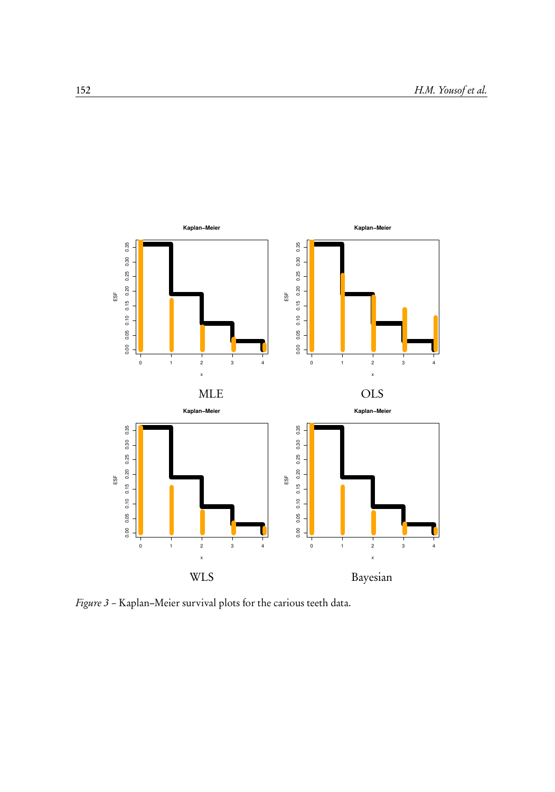

Figure 3 – Kaplan–Meier survival plots for the carious teeth data.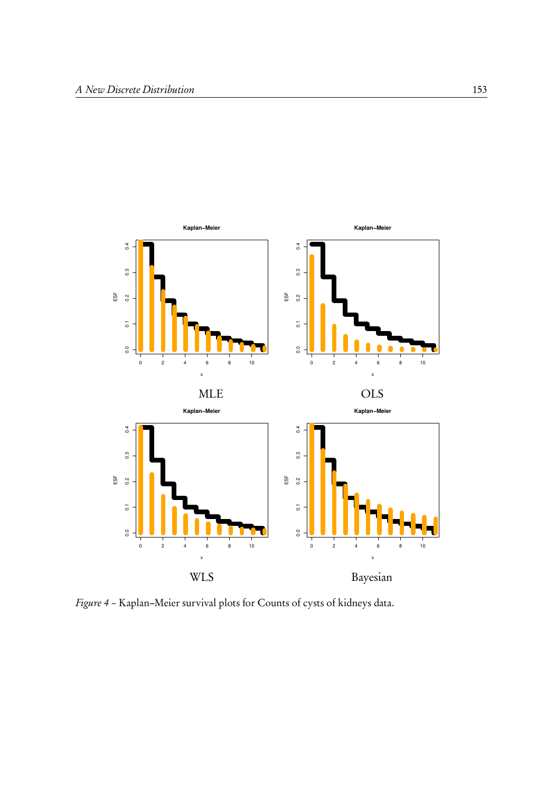

Figure 4 – Kaplan–Meier survival plots for Counts of cysts of kidneys data.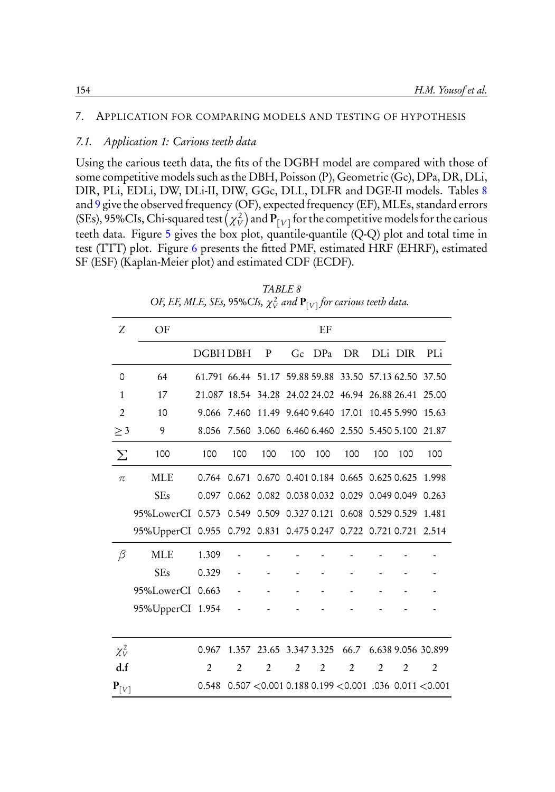#### 7. APPLICATION FOR COMPARING MODELS AND TESTING OF HYPOTHESIS

#### 7.1. Application 1: Carious teeth data

Using the carious teeth data, the fits of the DGBH model are compared with those of some competitive models such as the DBH, Poisson (P), Geometric (Gc), DPa, DR, DLi, DIR, PLi, EDLi, DW, DLi-II, DIW, GGc, DLL, DLFR and DGE-II models. Tables 8 and 9 give the observed frequency (OF), expected frequency (EF), MLEs, standard errors (SEs), 95%CIs, Chi-squared test  $(\chi^2_V)$  and  ${\bf P}_{[V]}$  for the competitive models for the carious teeth data. Figure 5 gives the box plot, quantile-quantile (Q-Q) plot and total time in test (TTT) plot. Figure 6 presents the fitted PMF, estimated HRF (EHRF), estimated SF (ESF) (Kaplan-Meier plot) and estimated CDF (ECDF).

| Ζ                  | OF                                                               |                |                |                                                              |     | EF     |                                     |     |         |                |
|--------------------|------------------------------------------------------------------|----------------|----------------|--------------------------------------------------------------|-----|--------|-------------------------------------|-----|---------|----------------|
|                    |                                                                  | DGBH DBH       |                | P                                                            |     | Gc DPa | DR                                  |     | DLi DIR | PLi            |
| 0                  | 64                                                               |                |                | 61.791 66.44 51.17 59.88 59.88 33.50 57.13 62.50 37.50       |     |        |                                     |     |         |                |
| $\mathbf{1}$       | 17                                                               |                |                | 21.087 18.54 34.28 24.02 24.02 46.94 26.88 26.41 25.00       |     |        |                                     |     |         |                |
| $\overline{2}$     | 10                                                               | 9.066          | 7.460          |                                                              |     |        | 11.49 9.640 9.640 17.01 10.45 5.990 |     |         | 15.63          |
| $\geq$ 3           | 9                                                                |                |                | 8.056 7.560 3.060 6.460 6.460 2.550 5.450 5.100 21.87        |     |        |                                     |     |         |                |
| $\sum$             | 100                                                              | 100            | 100            | 100                                                          | 100 | 100    | 100                                 | 100 | 100     | 100            |
| $\pi$              | <b>MLE</b>                                                       |                |                | 0.764 0.671 0.670 0.401 0.184 0.665 0.625 0.625 1.998        |     |        |                                     |     |         |                |
|                    | <b>SEs</b>                                                       | 0.097          |                | 0.062 0.082 0.038 0.032 0.029 0.049 0.049 0.263              |     |        |                                     |     |         |                |
|                    | 95%LowerCI 0.573 0.549 0.509 0.327 0.121 0.608 0.529 0.529 1.481 |                |                |                                                              |     |        |                                     |     |         |                |
|                    | 95%UpperCI 0.955 0.792 0.831 0.475 0.247 0.722 0.721 0.721 2.514 |                |                |                                                              |     |        |                                     |     |         |                |
| β                  | <b>MLE</b>                                                       | 1.309          |                |                                                              |     |        |                                     |     |         |                |
|                    | <b>SEs</b>                                                       | 0.329          |                |                                                              |     |        |                                     |     |         |                |
|                    | 95%LowerCI 0.663 -                                               |                |                |                                                              |     |        |                                     |     |         |                |
|                    | 95%UpperCI 1.954                                                 |                |                |                                                              |     |        |                                     |     |         |                |
|                    |                                                                  |                |                |                                                              |     |        |                                     |     |         |                |
| $\chi_V^2$         |                                                                  | 0.967          |                | 1.357 23.65 3.347 3.325 66.7 6.638 9.056 30.899              |     |        |                                     |     |         |                |
| d.f                |                                                                  | $\overline{2}$ | $\overline{2}$ | 2                                                            | 2   | 2      | 2                                   | 2   | 2       | $\overline{2}$ |
| $\mathbf{P}_{[V]}$ |                                                                  |                |                | 0.548  0.507 <0.001  0.188  0.199 <0.001  .036  0.011 <0.001 |     |        |                                     |     |         |                |

TABLE 8 OF, EF, MLE, SEs, 95%CIs,  $\chi^2_V$  and  ${\bf P}_{[V]}$  for carious teeth data.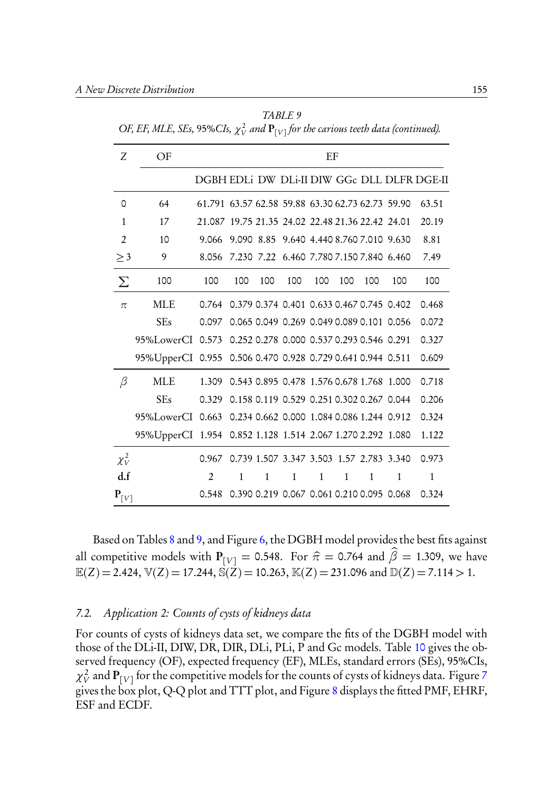TABLE 9 OF, EF, MLE, SEs, 95%CIs,  $\chi^2_V$  and  ${\bf P}_{[V]}$  for the carious teeth data (continued).

| Ζ                              | OF                                                         |                                                  |              |     |                                           | EF           |              |              |                                          |                                             |
|--------------------------------|------------------------------------------------------------|--------------------------------------------------|--------------|-----|-------------------------------------------|--------------|--------------|--------------|------------------------------------------|---------------------------------------------|
|                                |                                                            |                                                  |              |     |                                           |              |              |              |                                          | DGBH EDLI DW DLI-II DIW GGc DLL DLFR DGE-II |
| 0                              | 64                                                         | 61.791 63.57 62.58 59.88 63.30 62.73 62.73 59.90 |              |     |                                           |              |              |              |                                          | 63.51                                       |
| 1                              | 17                                                         | 21.087 19.75 21.35 24.02 22.48 21.36 22.42 24.01 |              |     |                                           |              |              |              |                                          | 20.19                                       |
| $\overline{2}$                 | 10                                                         | 9.066                                            |              |     | 9.090 8.85 9.640 4.440 8.760 7.010 9.630  |              |              |              |                                          | 8.81                                        |
| $\geq$ 3                       | 9                                                          | 8.056                                            |              |     | 7.230 7.22 6.460 7.780 7.150 7.840 6.460  |              |              |              |                                          | 7.49                                        |
| Σ                              | 100                                                        | 100                                              | 100          | 100 | 100                                       | 100          | 100          | 100          | 100                                      | 100                                         |
| $\pi$                          | <b>MLE</b>                                                 | 0.764                                            |              |     | 0.379 0.374 0.401 0.633 0.467 0.745 0.402 |              |              |              |                                          | 0.468                                       |
|                                | <b>SEs</b>                                                 | 0.097                                            |              |     | 0.065 0.049 0.269 0.049 0.089 0.101 0.056 |              |              |              |                                          | 0.072                                       |
|                                | 95%LowerCI 0.573 0.252 0.278 0.000 0.537 0.293 0.546 0.291 |                                                  |              |     |                                           |              |              |              |                                          | 0.327                                       |
|                                | 95%UpperCI 0.955 0.506 0.470 0.928 0.729 0.641 0.944 0.511 |                                                  |              |     |                                           |              |              |              |                                          | 0.609                                       |
| $\beta$                        | MLE                                                        | 1.309                                            |              |     | 0.543 0.895 0.478 1.576 0.678 1.768 1.000 |              |              |              |                                          | 0.718                                       |
|                                | <b>SEs</b>                                                 | 0.329 0.158 0.119 0.529 0.251 0.302 0.267 0.044  |              |     |                                           |              |              |              |                                          | 0.206                                       |
|                                | 95%LowerCI 0.663 0.234 0.662 0.000 1.084 0.086 1.244 0.912 |                                                  |              |     |                                           |              |              |              |                                          | 0.324                                       |
|                                | 95%UpperCI 1.954 0.852 1.128 1.514 2.067 1.270 2.292 1.080 |                                                  |              |     |                                           |              |              |              |                                          | 1.122                                       |
| $\chi^2_V$                     |                                                            | 0.967                                            |              |     |                                           |              |              |              | 0.739 1.507 3.347 3.503 1.57 2.783 3.340 | 0.973                                       |
| df                             |                                                            | $\overline{2}$                                   | $\mathbf{1}$ | 1   | $\mathbf{1}$                              | $\mathbf{1}$ | $\mathbf{1}$ | $\mathbf{1}$ | $\mathbf{1}$                             | $\mathbf{1}$                                |
| $\mathbf{P}_{\lceil V \rceil}$ |                                                            | 0.548                                            |              |     | 0.390 0.219 0.067 0.061 0.210 0.095 0.068 |              |              |              |                                          | 0.324                                       |

Based on Tables 8 and 9, and Figure 6, the DGBH model provides the best fits against all competitive models with  $P_{[V]} = 0.548$ . For  $\hat{\pi} = 0.764$  and  $\hat{\beta} = 1.309$ , we have  $\mathbb{E}(Z) = 2.424$ ,  $\mathbb{V}(Z) = 17.244$ ,  $\mathbb{S}(Z) = 10.263$ ,  $\mathbb{K}(Z) = 231.096$  and  $\mathbb{D}(Z) = 7.114 > 1$ .

#### 7.2. Application 2: Counts of cysts of kidneys data

For counts of cysts of kidneys data set, we compare the fits of the DGBH model with those of the DLi-II, DIW, DR, DIR, DLi, PLi, P and Gc models. Table 10 gives the observed frequency (OF), expected frequency (EF), MLEs, standard errors (SEs), 95%CIs,  $\chi^2_V$  and  ${\bf P}_{[V]}$  for the competitive models for the counts of cysts of kidneys data. Figure 7 gives the box plot, Q-Q plot and TTT plot, and Figure 8 displays the fitted PMF, EHRF, ESF and ECDF.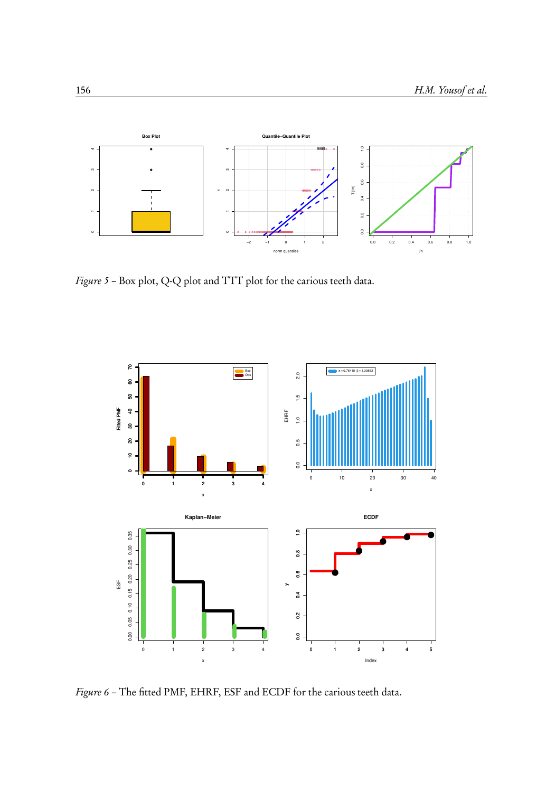

Figure 5 - Box plot, Q-Q plot and TTT plot for the carious teeth data.



Figure 6 – The fitted PMF, EHRF, ESF and ECDF for the carious teeth data.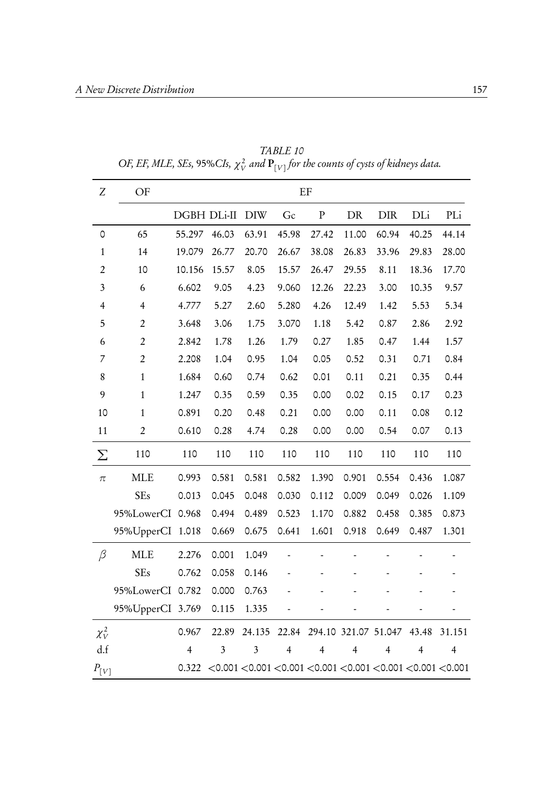| $\boldsymbol{Z}$ | OF               |                |       |            |                                                                                 | EF             |                |                      |                |                |
|------------------|------------------|----------------|-------|------------|---------------------------------------------------------------------------------|----------------|----------------|----------------------|----------------|----------------|
|                  |                  | DGBH DLi-II    |       | <b>DIW</b> | Gc                                                                              | ${\bf P}$      | DR             | ${\rm DIR}$          | DLi            | PLi            |
| 0                | 65               | 55.297         | 46.03 | 63.91      | 45.98                                                                           | 27.42          | 11.00          | 60.94                | 40.25          | 44.14          |
| $\mathbf{1}$     | 14               | 19.079         | 26.77 | 20.70      | 26.67                                                                           | 38.08          | 26.83          | 33.96                | 29.83          | 28.00          |
| $\overline{2}$   | 10               | 10.156         | 15.57 | 8.05       | 15.57                                                                           | 26.47          | 29.55          | 8.11                 | 18.36          | 17.70          |
| 3                | 6                | 6.602          | 9.05  | 4.23       | 9.060                                                                           | 12.26          | 22.23          | 3.00                 | 10.35          | 9.57           |
| $\overline{4}$   | $\overline{4}$   | 4.777          | 5.27  | 2.60       | 5.280                                                                           | 4.26           | 12.49          | 1.42                 | 5.53           | 5.34           |
| 5                | $\overline{2}$   | 3.648          | 3.06  | 1.75       | 3.070                                                                           | 1.18           | 5.42           | 0.87                 | 2.86           | 2.92           |
| 6                | $\overline{2}$   | 2.842          | 1.78  | 1.26       | 1.79                                                                            | 0.27           | 1.85           | 0.47                 | 1.44           | 1.57           |
| 7                | $\overline{2}$   | 2.208          | 1.04  | 0.95       | 1.04                                                                            | 0.05           | 0.52           | 0.31                 | 0.71           | 0.84           |
| 8                | $\,1\,$          | 1.684          | 0.60  | 0.74       | 0.62                                                                            | 0.01           | 0.11           | 0.21                 | 0.35           | 0.44           |
| 9                | $\,1\,$          | 1.247          | 0.35  | 0.59       | 0.35                                                                            | 0.00           | 0.02           | 0.15                 | 0.17           | 0.23           |
| 10               | $\mathbf{1}$     | 0.891          | 0.20  | 0.48       | 0.21                                                                            | 0.00           | 0.00           | 0.11                 | 0.08           | 0.12           |
| 11               | $\boldsymbol{2}$ | 0.610          | 0.28  | 4.74       | 0.28                                                                            | 0.00           | 0.00           | 0.54                 | 0.07           | 0.13           |
| Σ                | 110              | 110            | 110   | 110        | 110                                                                             | 110            | 110            | 110                  | 110            | 110            |
| $\pi$            | <b>MLE</b>       | 0.993          | 0.581 | 0.581      | 0.582                                                                           | 1.390          | 0.901          | 0.554                | 0.436          | 1.087          |
|                  | <b>SEs</b>       | 0.013          | 0.045 | 0.048      | 0.030                                                                           | 0.112          | 0.009          | 0.049                | 0.026          | 1.109          |
|                  | 95%LowerCI 0.968 |                | 0.494 | 0.489      | 0.523                                                                           | 1.170          | 0.882          | 0.458                | 0.385          | 0.873          |
|                  | 95%UpperCI 1.018 |                | 0.669 | 0.675      | 0.641                                                                           | 1.601          | 0.918          | 0.649                | 0.487          | 1.301          |
| $\beta$          | <b>MLE</b>       | 2.276          | 0.001 | 1.049      |                                                                                 |                |                |                      |                |                |
|                  | <b>SEs</b>       | 0.762          | 0.058 | 0.146      |                                                                                 |                |                |                      |                |                |
|                  | 95%LowerCI 0.782 |                | 0.000 | 0.763      |                                                                                 |                |                |                      |                |                |
|                  | 95%UpperCI 3.769 |                | 0.115 | 1.335      |                                                                                 |                |                |                      |                |                |
| $\chi_V^2$       |                  | 0.967          | 22.89 | 24.135     | 22.84                                                                           |                |                | 294.10 321.07 51.047 | 43.48          | 31.151         |
| d.f              |                  | $\overline{4}$ | 3     | 3          | $\overline{4}$                                                                  | $\overline{4}$ | $\overline{4}$ | $\overline{4}$       | $\overline{4}$ | $\overline{4}$ |
| $P_{[V]}$        |                  | 0.322          |       |            | $<$ 0.001 $<$ 0.001 $<$ 0.001 $<$ 0.001 $<$ 0.001 $<$ 0.001 $<$ 0.001 $<$ 0.001 |                |                |                      |                |                |

TABLE 10 OF, EF, MLE, SEs, 95%CIs,  $\chi^2_{V}$  and  ${\bf P}_{[V]}$  for the counts of cysts of kidneys data.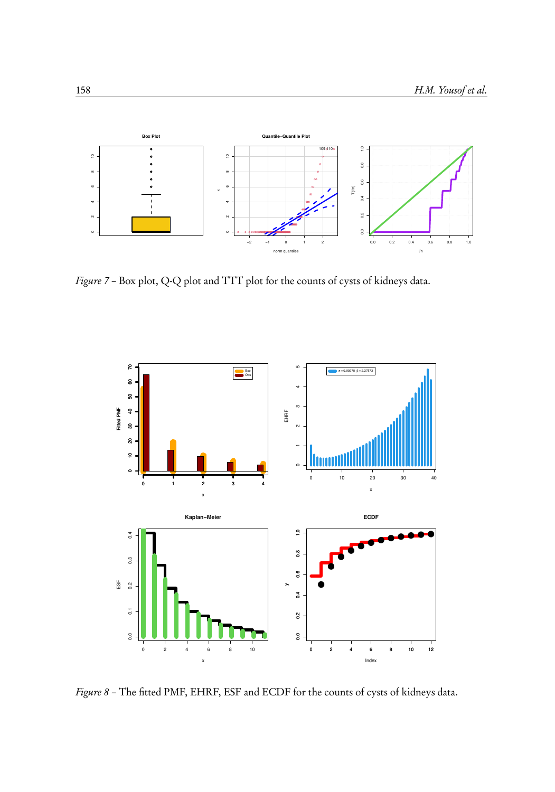

Figure 7 – Box plot, Q-Q plot and TTT plot for the counts of cysts of kidneys data.



Figure 8 – The fitted PMF, EHRF, ESF and ECDF for the counts of cysts of kidneys data.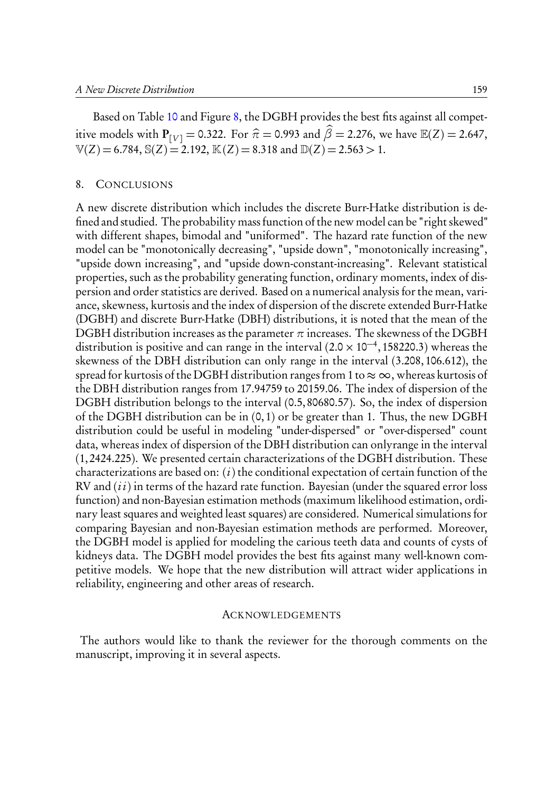Based on Table 10 and Figure 8, the DGBH provides the best fits against all competitive models with  $P_{[V]} = 0.322$ . For  $\hat{\pi} = 0.993$  and  $\hat{\beta} = 2.276$ , we have  $\mathbb{E}(Z) = 2.647$ ,  $\mathbb{V}(Z) = 6.784$ ,  $\mathbb{S}(Z) = 2.192$ ,  $\mathbb{K}(Z) = 8.318$  and  $\mathbb{D}(Z) = 2.563 > 1$ .

#### 8. CONCLUSIONS

A new discrete distribution which includes the discrete Burr-Hatke distribution is defined and studied. The probability mass function of the new model can be "right skewed" with different shapes, bimodal and "uniformed". The hazard rate function of the new model can be "monotonically decreasing", "upside down", "monotonically increasing", "upside down increasing", and "upside down-constant-increasing". Relevant statistical properties, such as the probability generating function, ordinary moments, index of dispersion and order statistics are derived. Based on a numerical analysis for the mean, variance, skewness, kurtosis and the index of dispersion of the discrete extended Burr-Hatke (DGBH) and discrete Burr-Hatke (DBH) distributions, it is noted that the mean of the DGBH distribution increases as the parameter  $\pi$  increases. The skewness of the DGBH distribution is positive and can range in the interval  $(2.0 \times 10^{-4}, 158220.3)$  whereas the skewness of the DBH distribution can only range in the interval (3.208,106.612), the spread for kurtosis of the DGBH distribution ranges from 1 to  $\approx \infty$ , whereas kurtosis of the DBH distribution ranges from 17.94759 to 20159.06. The index of dispersion of the DGBH distribution belongs to the interval (0.5,80680.57). So, the index of dispersion of the DGBH distribution can be in (0,1) or be greater than 1. Thus, the new DGBH distribution could be useful in modeling "under-dispersed" or "over-dispersed" count data, whereas index of dispersion of the DBH distribution can onlyrange in the interval (1,2424.225). We presented certain characterizations of the DGBH distribution. These characterizations are based on:  $(i)$  the conditional expectation of certain function of the  $RV$  and  $(ii)$  in terms of the hazard rate function. Bayesian (under the squared error loss function) and non-Bayesian estimation methods (maximum likelihood estimation, ordinary least squares and weighted least squares) are considered. Numerical simulations for comparing Bayesian and non-Bayesian estimation methods are performed. Moreover, the DGBH model is applied for modeling the carious teeth data and counts of cysts of kidneys data. The DGBH model provides the best fits against many well-known competitive models. We hope that the new distribution will attract wider applications in reliability, engineering and other areas of research.

#### **ACKNOWLEDGEMENTS**

The authors would like to thank the reviewer for the thorough comments on the manuscript, improving it in several aspects.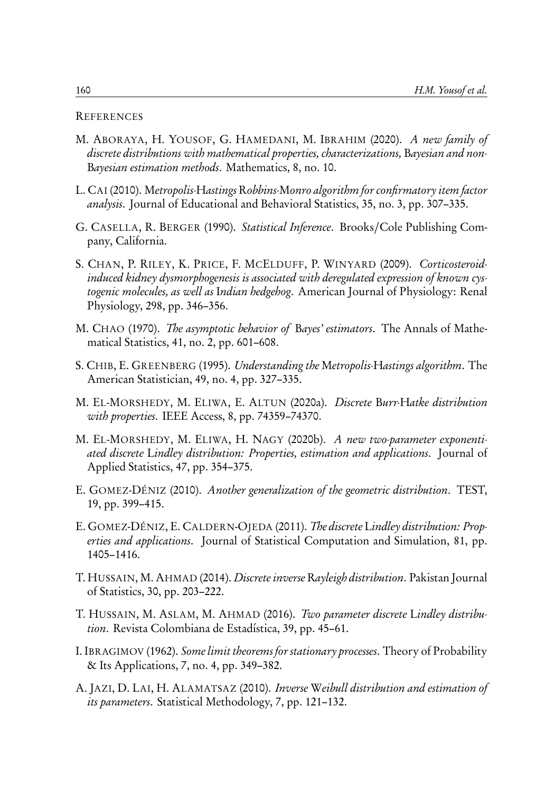#### **REFERENCES**

- M. ABORAYA, H. YOUSOF, G. HAMEDANI, M. IBRAHIM (2020). A new family of discrete distributions with mathematical properties, characterizations, Bayesian and non-Bayesian estimation methods. Mathematics, 8, no. 10.
- L. CAI (2010). Metropolis-Hastings Robbins-Monro algorithm for confirmatory item factor analysis. Journal of Educational and Behavioral Statistics, 35, no. 3, pp. 307–335.
- G. CASELLA, R. BERGER (1990). Statistical Inference. Brooks/Cole Publishing Company, California.
- S. CHAN, P. RILEY, K. PRICE, F. MCELDUFF, P. WINYARD (2009). Corticosteroidinduced kidney dysmorphogenesis is associated with deregulated expression of known cystogenic molecules, as well as Indian hedgehog. American Journal of Physiology: Renal Physiology, 298, pp. 346–356.
- M. CHAO (1970). The asymptotic behavior of Bayes' estimators. The Annals of Mathematical Statistics, 41, no. 2, pp. 601–608.
- S. CHIB, E. GREENBERG (1995). Understanding the Metropolis-Hastings algorithm. The American Statistician, 49, no. 4, pp. 327–335.
- M. EL-MORSHEDY, M. ELIWA, E. ALTUN (2020a). Discrete Burr-Hatke distribution with properties. IEEE Access, 8, pp. 74359–74370.
- M. EL-MORSHEDY, M. ELIWA, H. NAGY (2020b). A new two-parameter exponentiated discrete Lindley distribution: Properties, estimation and applications. Journal of Applied Statistics, 47, pp. 354–375.
- E. GOMEZ-DÉNIZ (2010). Another generalization of the geometric distribution. TEST, 19, pp. 399–415.
- E. GOMEZ-DÉNIZ, E. CALDERN-OJEDA (2011). The discrete Lindley distribution: Properties and applications. Journal of Statistical Computation and Simulation, 81, pp. 1405–1416.
- T. HUSSAIN, M. AHMAD (2014). Discrete inverse Rayleigh distribution. Pakistan Journal of Statistics, 30, pp. 203–222.
- T. HUSSAIN, M. ASLAM, M. AHMAD (2016). Two parameter discrete Lindley distribution. Revista Colombiana de Estadística, 39, pp. 45–61.
- I. IBRAGIMOV (1962). Some limit theorems for stationary processes. Theory of Probability & Its Applications, 7, no. 4, pp. 349–382.
- A. JAZI, D. LAI, H. ALAMATSAZ (2010). Inverse Weibull distribution and estimation of its parameters. Statistical Methodology, 7, pp. 121–132.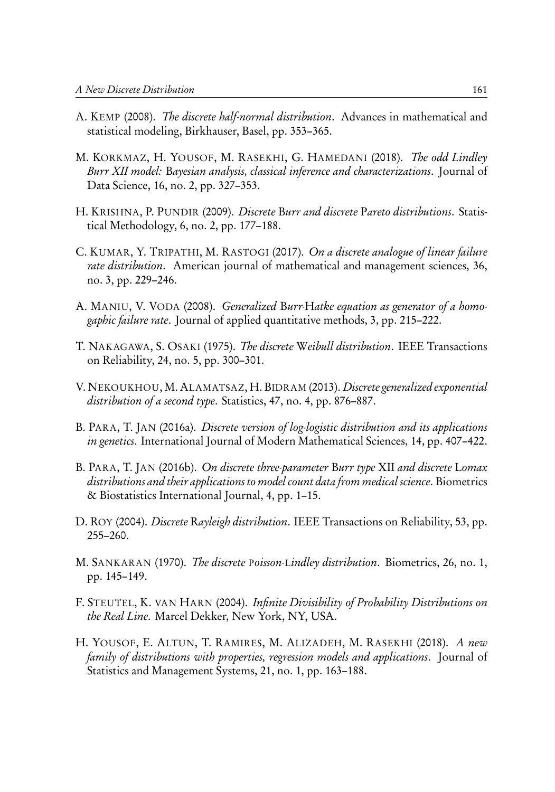- A. KEMP (2008). The discrete half-normal distribution. Advances in mathematical and statistical modeling, Birkhauser, Basel, pp. 353–365.
- M. KORKMAZ, H. YOUSOF, M. RASEKHI, G. HAMEDANI (2018). The odd Lindley Burr XII model: Bayesian analysis, classical inference and characterizations. Journal of Data Science, 16, no. 2, pp. 327–353.
- H. KRISHNA, P. PUNDIR (2009). *Discrete Burr and discrete Pareto distributions*. Statistical Methodology, 6, no. 2, pp. 177–188.
- C. KUMAR, Y. TRIPATHI, M. RASTOGI (2017). On a discrete analogue of linear failure rate distribution. American journal of mathematical and management sciences, 36, no. 3, pp. 229–246.
- A. MANIU, V. VODA (2008). Generalized Burr-Hatke equation as generator of a homogaphic failure rate. Journal of applied quantitative methods, 3, pp. 215–222.
- T. NAKAGAWA, S. OSAKI (1975). The discrete Weibull distribution. IEEE Transactions on Reliability, 24, no. 5, pp. 300–301.
- V. NEKOUKHOU, M. ALAMATSAZ, H. BIDRAM (2013). Discrete generalized exponential distribution of a second type. Statistics, 47, no. 4, pp. 876–887.
- B. PARA, T. JAN (2016a). Discrete version of log-logistic distribution and its applications in genetics. International Journal of Modern Mathematical Sciences, 14, pp. 407–422.
- B. PARA, T. JAN (2016b). On discrete three-parameter Burr type XII and discrete Lomax distributions and their applications to model count data from medical science. Biometrics & Biostatistics International Journal, 4, pp. 1–15.
- D. ROY (2004). *Discrete Rayleigh distribution*. IEEE Transactions on Reliability, 53, pp. 255–260.
- M. SANKARAN (1970). The discrete Poisson-Lindley distribution. Biometrics, 26, no. 1, pp. 145–149.
- F. STEUTEL, K. VAN HARN (2004). Infinite Divisibility of Probability Distributions on the Real Line. Marcel Dekker, New York, NY, USA.
- H. YOUSOF, E. ALTUN, T. RAMIRES, M. ALIZADEH, M. RASEKHI (2018). A new family of distributions with properties, regression models and applications. Journal of Statistics and Management Systems, 21, no. 1, pp. 163–188.